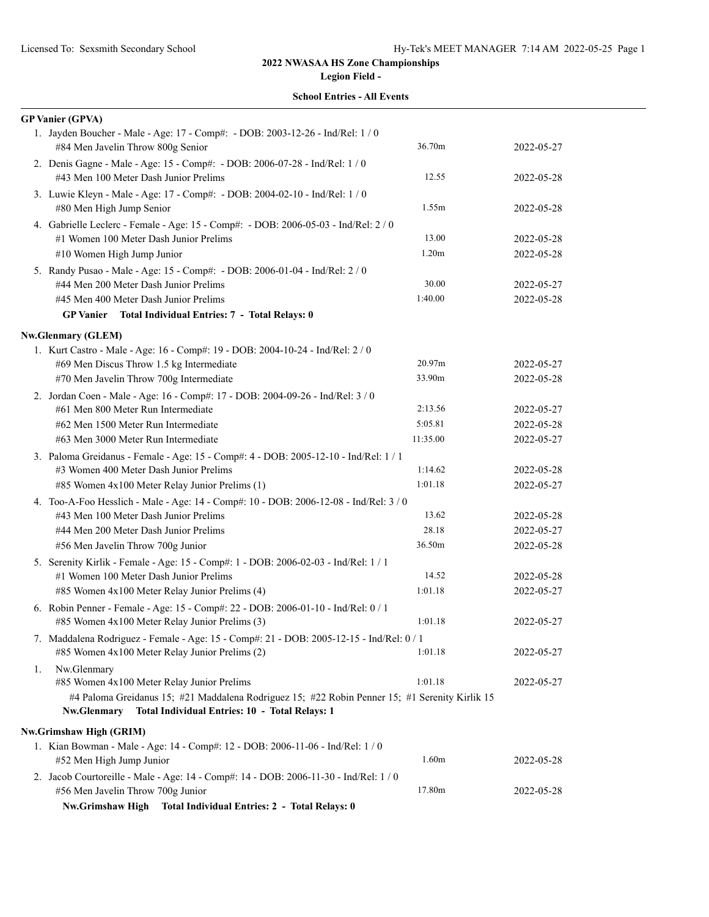**Legion Field -**

|    | <b>School Entries - All Events</b>                                                                                                                              |          |            |
|----|-----------------------------------------------------------------------------------------------------------------------------------------------------------------|----------|------------|
|    | <b>GP Vanier (GPVA)</b>                                                                                                                                         |          |            |
|    | 1. Jayden Boucher - Male - Age: 17 - Comp#: - DOB: 2003-12-26 - Ind/Rel: 1 / 0<br>#84 Men Javelin Throw 800g Senior                                             | 36.70m   | 2022-05-27 |
|    | 2. Denis Gagne - Male - Age: 15 - Comp#: - DOB: 2006-07-28 - Ind/Rel: 1 / 0<br>#43 Men 100 Meter Dash Junior Prelims                                            | 12.55    | 2022-05-28 |
|    | 3. Luwie Kleyn - Male - Age: 17 - Comp#: - DOB: 2004-02-10 - Ind/Rel: 1 / 0<br>#80 Men High Jump Senior                                                         | 1.55m    | 2022-05-28 |
|    | 4. Gabrielle Leclerc - Female - Age: 15 - Comp#: - DOB: 2006-05-03 - Ind/Rel: 2 / 0<br>#1 Women 100 Meter Dash Junior Prelims                                   | 13.00    | 2022-05-28 |
|    | #10 Women High Jump Junior                                                                                                                                      | 1.20m    | 2022-05-28 |
|    | 5. Randy Pusao - Male - Age: 15 - Comp#: - DOB: 2006-01-04 - Ind/Rel: 2 / 0                                                                                     |          |            |
|    | #44 Men 200 Meter Dash Junior Prelims                                                                                                                           | 30.00    | 2022-05-27 |
|    | #45 Men 400 Meter Dash Junior Prelims                                                                                                                           | 1:40.00  | 2022-05-28 |
|    | Total Individual Entries: 7 - Total Relays: 0<br><b>GP</b> Vanier                                                                                               |          |            |
|    | <b>Nw.Glenmary (GLEM)</b>                                                                                                                                       |          |            |
|    | 1. Kurt Castro - Male - Age: 16 - Comp#: 19 - DOB: 2004-10-24 - Ind/Rel: 2 / 0                                                                                  |          |            |
|    | #69 Men Discus Throw 1.5 kg Intermediate                                                                                                                        | 20.97m   | 2022-05-27 |
|    | #70 Men Javelin Throw 700g Intermediate                                                                                                                         | 33.90m   | 2022-05-28 |
|    | 2. Jordan Coen - Male - Age: 16 - Comp#: 17 - DOB: 2004-09-26 - Ind/Rel: 3 / 0                                                                                  |          |            |
|    | #61 Men 800 Meter Run Intermediate                                                                                                                              | 2:13.56  | 2022-05-27 |
|    | #62 Men 1500 Meter Run Intermediate                                                                                                                             | 5:05.81  | 2022-05-28 |
|    | #63 Men 3000 Meter Run Intermediate                                                                                                                             | 11:35.00 | 2022-05-27 |
|    | 3. Paloma Greidanus - Female - Age: 15 - Comp#: 4 - DOB: 2005-12-10 - Ind/Rel: 1 / 1                                                                            |          |            |
|    | #3 Women 400 Meter Dash Junior Prelims                                                                                                                          | 1:14.62  | 2022-05-28 |
|    | #85 Women 4x100 Meter Relay Junior Prelims (1)                                                                                                                  | 1:01.18  | 2022-05-27 |
|    | 4. Too-A-Foo Hesslich - Male - Age: 14 - Comp#: 10 - DOB: 2006-12-08 - Ind/Rel: 3 / 0                                                                           |          |            |
|    | #43 Men 100 Meter Dash Junior Prelims                                                                                                                           | 13.62    | 2022-05-28 |
|    | #44 Men 200 Meter Dash Junior Prelims                                                                                                                           | 28.18    | 2022-05-27 |
|    | #56 Men Javelin Throw 700g Junior                                                                                                                               | 36.50m   | 2022-05-28 |
|    | 5. Serenity Kirlik - Female - Age: 15 - Comp#: 1 - DOB: 2006-02-03 - Ind/Rel: 1 / 1                                                                             |          |            |
|    | #1 Women 100 Meter Dash Junior Prelims                                                                                                                          | 14.52    | 2022-05-28 |
|    | #85 Women 4x100 Meter Relay Junior Prelims (4)                                                                                                                  | 1:01.18  | 2022-05-27 |
|    | 6. Robin Penner - Female - Age: 15 - Comp#: 22 - DOB: 2006-01-10 - Ind/Rel: 0 / 1<br>#85 Women 4x100 Meter Relay Junior Prelims (3)                             | 1:01.18  | 2022-05-27 |
|    |                                                                                                                                                                 |          |            |
|    | 7. Maddalena Rodriguez - Female - Age: 15 - Comp#: 21 - DOB: 2005-12-15 - Ind/Rel: 0 / 1<br>#85 Women 4x100 Meter Relay Junior Prelims (2)                      | 1:01.18  | 2022-05-27 |
| 1. | Nw.Glenmary<br>#85 Women 4x100 Meter Relay Junior Prelims                                                                                                       | 1:01.18  | 2022-05-27 |
|    | #4 Paloma Greidanus 15; #21 Maddalena Rodriguez 15; #22 Robin Penner 15; #1 Serenity Kirlik 15<br>Total Individual Entries: 10 - Total Relays: 1<br>Nw.Glenmary |          |            |
|    | Nw.Grimshaw High (GRIM)                                                                                                                                         |          |            |
|    | 1. Kian Bowman - Male - Age: 14 - Comp#: 12 - DOB: 2006-11-06 - Ind/Rel: 1 / 0<br>#52 Men High Jump Junior                                                      | 1.60m    | 2022-05-28 |
|    | 2. Jacob Courtoreille - Male - Age: 14 - Comp#: 14 - DOB: 2006-11-30 - Ind/Rel: 1 / 0                                                                           |          |            |
|    | #56 Men Javelin Throw 700g Junior                                                                                                                               | 17.80m   | 2022-05-28 |

**Nw.Grimshaw High Total Individual Entries: 2 - Total Relays: 0**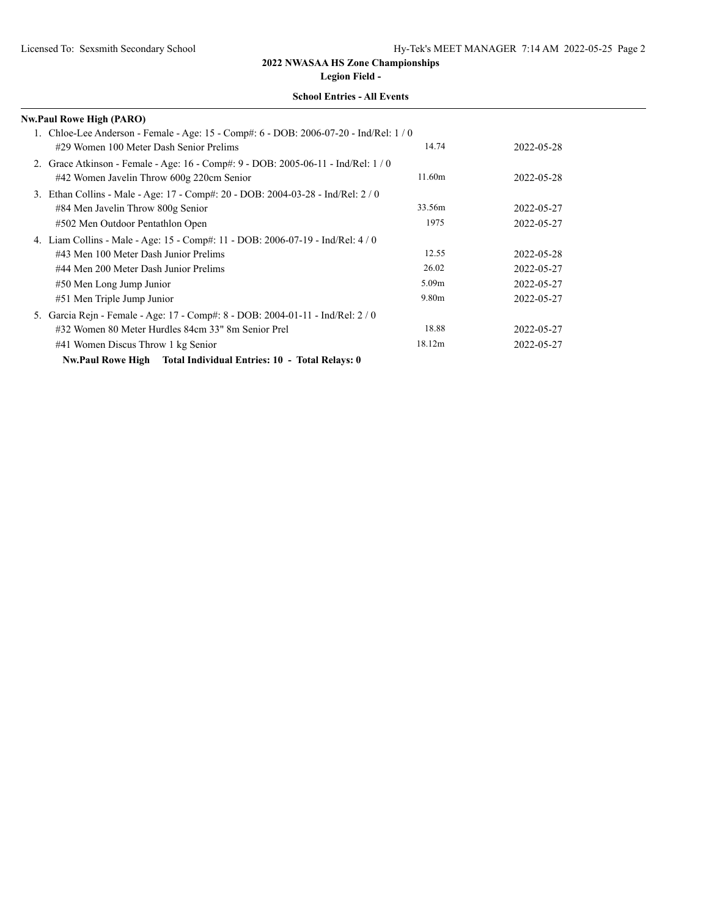**Legion Field -**

| <b>Nw.Paul Rowe High (PARO)</b>                                                                                                                                                                                                                 |                                              |                                                      |
|-------------------------------------------------------------------------------------------------------------------------------------------------------------------------------------------------------------------------------------------------|----------------------------------------------|------------------------------------------------------|
| 1. Chloe-Lee Anderson - Female - Age: 15 - Comp#: 6 - DOB: 2006-07-20 - Ind/Rel: 1/0<br>#29 Women 100 Meter Dash Senior Prelims                                                                                                                 | 14.74                                        | 2022-05-28                                           |
| 2. Grace Atkinson - Female - Age: 16 - Comp#: 9 - DOB: 2005-06-11 - Ind/Rel: 1/0<br>#42 Women Javelin Throw 600g 220cm Senior                                                                                                                   | 11.60m                                       | 2022-05-28                                           |
| 3. Ethan Collins - Male - Age: 17 - Comp#: 20 - DOB: 2004-03-28 - Ind/Rel: 2/0<br>#84 Men Javelin Throw 800g Senior<br>#502 Men Outdoor Pentathlon Open                                                                                         | 33.56m<br>1975                               | 2022-05-27<br>2022-05-27                             |
| 4. Liam Collins - Male - Age: 15 - Comp#: 11 - DOB: 2006-07-19 - Ind/Rel: 4/0<br>#43 Men 100 Meter Dash Junior Prelims<br>#44 Men 200 Meter Dash Junior Prelims<br>#50 Men Long Jump Junior<br>#51 Men Triple Jump Junior                       | 12.55<br>26.02<br>5.09 <sub>m</sub><br>9.80m | 2022-05-28<br>2022-05-27<br>2022-05-27<br>2022-05-27 |
| 5. Garcia Rejn - Female - Age: 17 - Comp#: 8 - DOB: 2004-01-11 - Ind/Rel: 2 / 0<br>#32 Women 80 Meter Hurdles 84cm 33" 8m Senior Prel<br>#41 Women Discus Throw 1 kg Senior<br>Nw.Paul Rowe High Total Individual Entries: 10 - Total Relays: 0 | 18.88<br>18.12m                              | 2022-05-27<br>2022-05-27                             |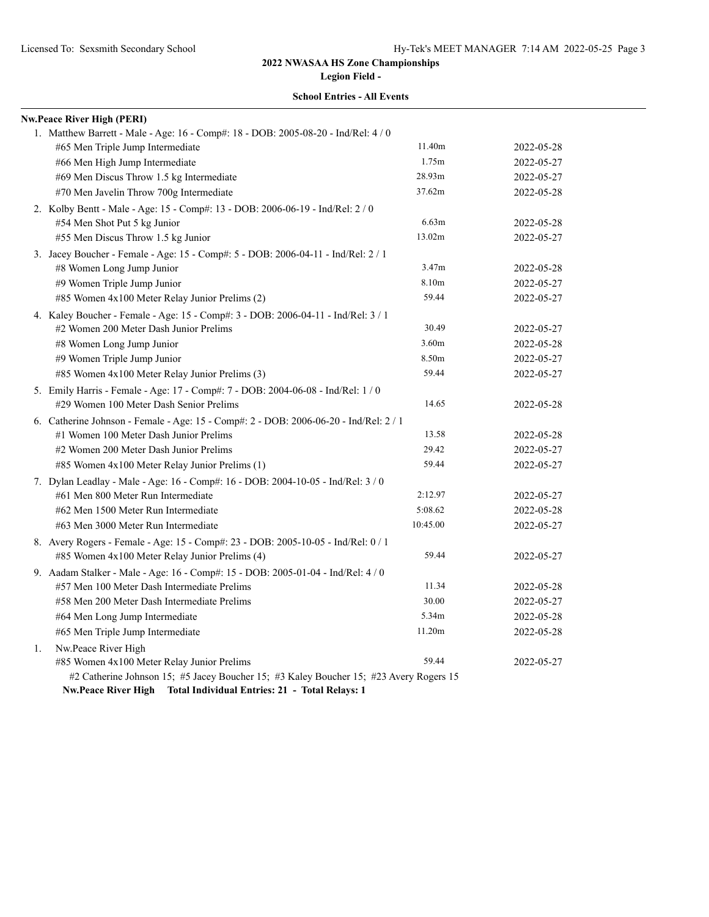**Legion Field -**

### **School Entries - All Events**

|    | <b>Nw.Peace River High (PERI)</b>                                                                                                |                   |            |
|----|----------------------------------------------------------------------------------------------------------------------------------|-------------------|------------|
|    | 1. Matthew Barrett - Male - Age: 16 - Comp#: 18 - DOB: 2005-08-20 - Ind/Rel: 4 / 0                                               |                   |            |
|    | #65 Men Triple Jump Intermediate                                                                                                 | 11.40m            | 2022-05-28 |
|    | #66 Men High Jump Intermediate                                                                                                   | 1.75m             | 2022-05-27 |
|    | #69 Men Discus Throw 1.5 kg Intermediate                                                                                         | 28.93m            | 2022-05-27 |
|    | #70 Men Javelin Throw 700g Intermediate                                                                                          | 37.62m            | 2022-05-28 |
|    | 2. Kolby Bentt - Male - Age: 15 - Comp#: 13 - DOB: 2006-06-19 - Ind/Rel: 2 / 0                                                   |                   |            |
|    | #54 Men Shot Put 5 kg Junior                                                                                                     | 6.63m             | 2022-05-28 |
|    | #55 Men Discus Throw 1.5 kg Junior                                                                                               | 13.02m            | 2022-05-27 |
|    | 3. Jacey Boucher - Female - Age: 15 - Comp#: 5 - DOB: 2006-04-11 - Ind/Rel: 2 / 1                                                |                   |            |
|    | #8 Women Long Jump Junior                                                                                                        | 3.47m             | 2022-05-28 |
|    | #9 Women Triple Jump Junior                                                                                                      | 8.10m             | 2022-05-27 |
|    | #85 Women 4x100 Meter Relay Junior Prelims (2)                                                                                   | 59.44             | 2022-05-27 |
|    | 4. Kaley Boucher - Female - Age: 15 - Comp#: 3 - DOB: 2006-04-11 - Ind/Rel: 3 / 1                                                |                   |            |
|    | #2 Women 200 Meter Dash Junior Prelims                                                                                           | 30.49             | 2022-05-27 |
|    | #8 Women Long Jump Junior                                                                                                        | 3.60 <sub>m</sub> | 2022-05-28 |
|    | #9 Women Triple Jump Junior                                                                                                      | 8.50m             | 2022-05-27 |
|    | #85 Women 4x100 Meter Relay Junior Prelims (3)                                                                                   | 59.44             | 2022-05-27 |
|    | 5. Emily Harris - Female - Age: 17 - Comp#: 7 - DOB: 2004-06-08 - Ind/Rel: 1 / 0                                                 |                   |            |
|    | #29 Women 100 Meter Dash Senior Prelims                                                                                          | 14.65             | 2022-05-28 |
|    | 6. Catherine Johnson - Female - Age: 15 - Comp#: 2 - DOB: 2006-06-20 - Ind/Rel: 2 / 1                                            |                   |            |
|    | #1 Women 100 Meter Dash Junior Prelims                                                                                           | 13.58             | 2022-05-28 |
|    | #2 Women 200 Meter Dash Junior Prelims                                                                                           | 29.42             | 2022-05-27 |
|    | #85 Women 4x100 Meter Relay Junior Prelims (1)                                                                                   | 59.44             | 2022-05-27 |
|    | 7. Dylan Leadlay - Male - Age: 16 - Comp#: 16 - DOB: 2004-10-05 - Ind/Rel: 3 / 0                                                 |                   |            |
|    | #61 Men 800 Meter Run Intermediate                                                                                               | 2:12.97           | 2022-05-27 |
|    | #62 Men 1500 Meter Run Intermediate                                                                                              | 5:08.62           | 2022-05-28 |
|    | #63 Men 3000 Meter Run Intermediate                                                                                              | 10:45.00          | 2022-05-27 |
|    | 8. Avery Rogers - Female - Age: 15 - Comp#: 23 - DOB: 2005-10-05 - Ind/Rel: 0 / 1                                                |                   |            |
|    | #85 Women 4x100 Meter Relay Junior Prelims (4)                                                                                   | 59.44             | 2022-05-27 |
|    | 9. Aadam Stalker - Male - Age: 16 - Comp#: 15 - DOB: 2005-01-04 - Ind/Rel: 4 / 0                                                 |                   |            |
|    | #57 Men 100 Meter Dash Intermediate Prelims                                                                                      | 11.34             | 2022-05-28 |
|    | #58 Men 200 Meter Dash Intermediate Prelims                                                                                      | 30.00             | 2022-05-27 |
|    | #64 Men Long Jump Intermediate                                                                                                   | 5.34m             | 2022-05-28 |
|    | #65 Men Triple Jump Intermediate                                                                                                 | 11.20m            | 2022-05-28 |
| 1. | Nw.Peace River High                                                                                                              |                   |            |
|    | #85 Women 4x100 Meter Relay Junior Prelims                                                                                       | 59.44             | 2022-05-27 |
|    | #2 Catherine Johnson 15; #5 Jacey Boucher 15; #3 Kaley Boucher 15; #23 Avery Rogers 15                                           |                   |            |
|    | $\overline{a}$ and $\overline{a}$ and $\overline{a}$ and $\overline{a}$ and $\overline{a}$ and $\overline{a}$ and $\overline{a}$ |                   |            |

**Nw.Peace River High Total Individual Entries: 21 - Total Relays: 1**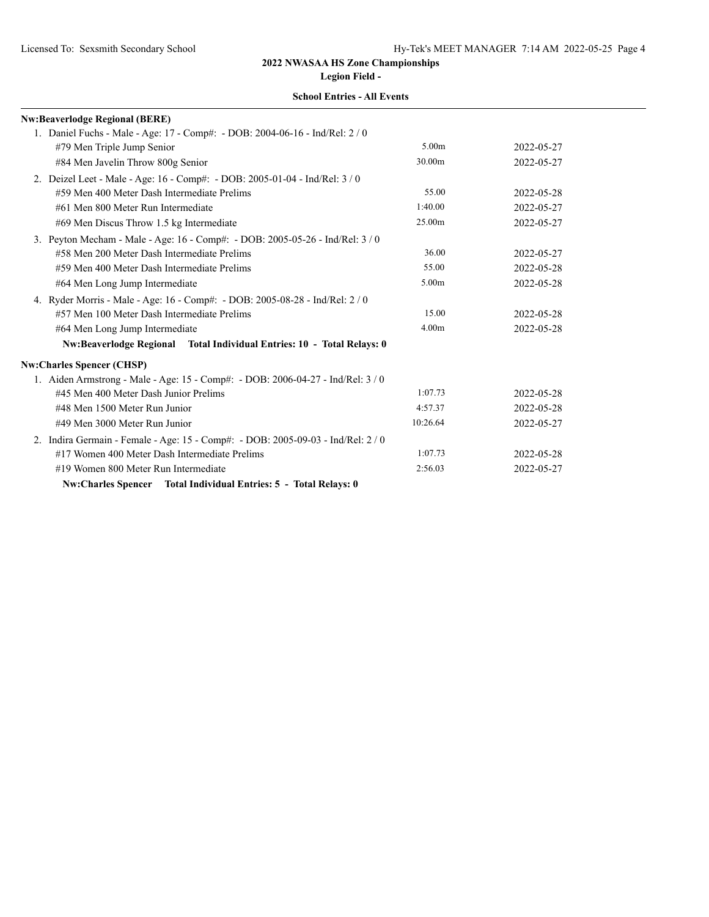**Legion Field -**

| <b>Nw:Beaverlodge Regional (BERE)</b>                                            |                    |            |
|----------------------------------------------------------------------------------|--------------------|------------|
| 1. Daniel Fuchs - Male - Age: 17 - Comp#: - DOB: 2004-06-16 - Ind/Rel: 2 / 0     |                    |            |
| #79 Men Triple Jump Senior                                                       | 5.00m              | 2022-05-27 |
| #84 Men Javelin Throw 800g Senior                                                | 30.00 <sub>m</sub> | 2022-05-27 |
| 2. Deizel Leet - Male - Age: 16 - Comp#: - DOB: 2005-01-04 - Ind/Rel: 3 / 0      |                    |            |
| #59 Men 400 Meter Dash Intermediate Prelims                                      | 55.00              | 2022-05-28 |
| #61 Men 800 Meter Run Intermediate                                               | 1:40.00            | 2022-05-27 |
| #69 Men Discus Throw 1.5 kg Intermediate                                         | 25.00m             | 2022-05-27 |
| 3. Peyton Mecham - Male - Age: 16 - Comp#: - DOB: 2005-05-26 - Ind/Rel: 3 / 0    |                    |            |
| #58 Men 200 Meter Dash Intermediate Prelims                                      | 36.00              | 2022-05-27 |
| #59 Men 400 Meter Dash Intermediate Prelims                                      | 55.00              | 2022-05-28 |
| #64 Men Long Jump Intermediate                                                   | 5.00m              | 2022-05-28 |
| 4. Ryder Morris - Male - Age: 16 - Comp#: - DOB: 2005-08-28 - Ind/Rel: 2 / 0     |                    |            |
| #57 Men 100 Meter Dash Intermediate Prelims                                      | 15.00              | 2022-05-28 |
| #64 Men Long Jump Intermediate                                                   | 4.00 <sub>m</sub>  | 2022-05-28 |
| Nw:Beaverlodge Regional Total Individual Entries: 10 - Total Relays: 0           |                    |            |
| <b>Nw:Charles Spencer (CHSP)</b>                                                 |                    |            |
| 1. Aiden Armstrong - Male - Age: 15 - Comp#: - DOB: 2006-04-27 - Ind/Rel: 3/0    |                    |            |
| #45 Men 400 Meter Dash Junior Prelims                                            | 1:07.73            | 2022-05-28 |
| #48 Men 1500 Meter Run Junior                                                    | 4:57.37            | 2022-05-28 |
| #49 Men 3000 Meter Run Junior                                                    | 10:26.64           | 2022-05-27 |
| 2. Indira Germain - Female - Age: 15 - Comp#: - DOB: 2005-09-03 - Ind/Rel: 2 / 0 |                    |            |
| #17 Women 400 Meter Dash Intermediate Prelims                                    | 1:07.73            | 2022-05-28 |
| #19 Women 800 Meter Run Intermediate                                             | 2:56.03            | 2022-05-27 |
| Nw:Charles Spencer Total Individual Entries: 5 - Total Relays: 0                 |                    |            |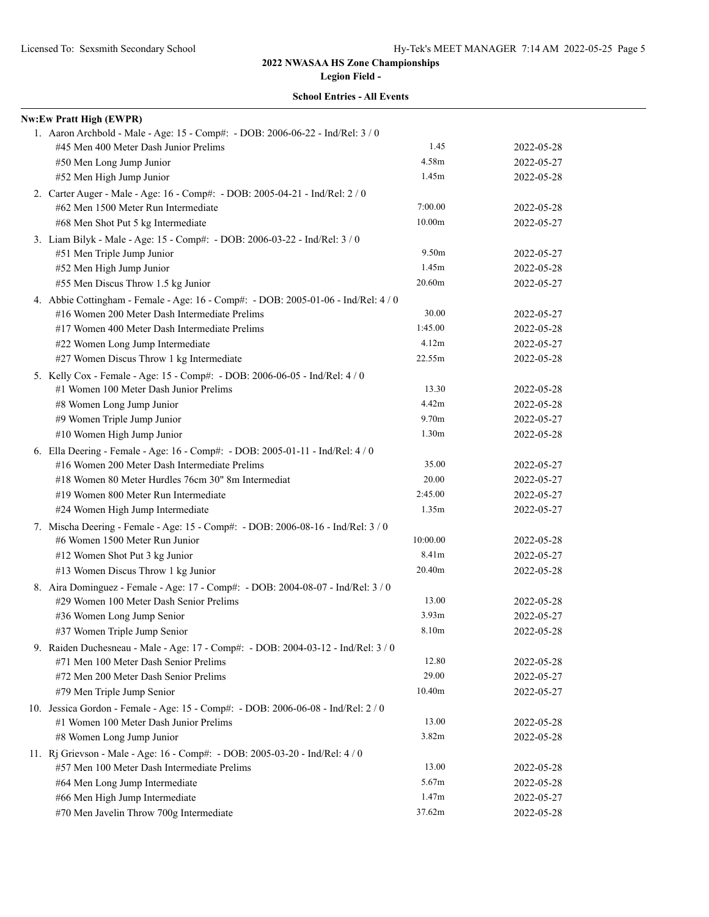| <b>School Entries - All Events</b> |  |
|------------------------------------|--|
|------------------------------------|--|

| <b>Nw:Ew Pratt High (EWPR)</b>                                                     |                   |            |
|------------------------------------------------------------------------------------|-------------------|------------|
| 1. Aaron Archbold - Male - Age: 15 - Comp#: - DOB: 2006-06-22 - Ind/Rel: 3 / 0     |                   |            |
| #45 Men 400 Meter Dash Junior Prelims                                              | 1.45              | 2022-05-28 |
| #50 Men Long Jump Junior                                                           | 4.58m             | 2022-05-27 |
| #52 Men High Jump Junior                                                           | 1.45m             | 2022-05-28 |
| 2. Carter Auger - Male - Age: 16 - Comp#: - DOB: 2005-04-21 - Ind/Rel: 2 / 0       |                   |            |
| #62 Men 1500 Meter Run Intermediate                                                | 7:00.00           | 2022-05-28 |
| #68 Men Shot Put 5 kg Intermediate                                                 | 10.00m            | 2022-05-27 |
| 3. Liam Bilyk - Male - Age: 15 - Comp#: - DOB: 2006-03-22 - Ind/Rel: 3 / 0         |                   |            |
| #51 Men Triple Jump Junior                                                         | 9.50m             | 2022-05-27 |
| #52 Men High Jump Junior                                                           | 1.45m             | 2022-05-28 |
| #55 Men Discus Throw 1.5 kg Junior                                                 | 20.60m            | 2022-05-27 |
| 4. Abbie Cottingham - Female - Age: 16 - Comp#: - DOB: 2005-01-06 - Ind/Rel: 4 / 0 |                   |            |
| #16 Women 200 Meter Dash Intermediate Prelims                                      | 30.00             | 2022-05-27 |
| #17 Women 400 Meter Dash Intermediate Prelims                                      | 1:45.00           | 2022-05-28 |
| #22 Women Long Jump Intermediate                                                   | 4.12m             | 2022-05-27 |
| #27 Women Discus Throw 1 kg Intermediate                                           | 22.55m            | 2022-05-28 |
| 5. Kelly Cox - Female - Age: 15 - Comp#: - DOB: 2006-06-05 - Ind/Rel: 4 / 0        |                   |            |
| #1 Women 100 Meter Dash Junior Prelims                                             | 13.30             | 2022-05-28 |
| #8 Women Long Jump Junior                                                          | 4.42m             | 2022-05-28 |
| #9 Women Triple Jump Junior                                                        | 9.70m             | 2022-05-27 |
| #10 Women High Jump Junior                                                         | 1.30 <sub>m</sub> | 2022-05-28 |
| 6. Ella Deering - Female - Age: 16 - Comp#: - DOB: 2005-01-11 - Ind/Rel: 4 / 0     |                   |            |
| #16 Women 200 Meter Dash Intermediate Prelims                                      | 35.00             | 2022-05-27 |
| #18 Women 80 Meter Hurdles 76cm 30" 8m Intermediat                                 | 20.00             | 2022-05-27 |
| #19 Women 800 Meter Run Intermediate                                               | 2:45.00           | 2022-05-27 |
| #24 Women High Jump Intermediate                                                   | 1.35m             | 2022-05-27 |
| 7. Mischa Deering - Female - Age: 15 - Comp#: - DOB: 2006-08-16 - Ind/Rel: 3 / 0   |                   |            |
| #6 Women 1500 Meter Run Junior                                                     | 10:00.00          | 2022-05-28 |
| #12 Women Shot Put 3 kg Junior                                                     | 8.41m             | 2022-05-27 |
| #13 Women Discus Throw 1 kg Junior                                                 | 20.40m            | 2022-05-28 |
| 8. Aira Dominguez - Female - Age: 17 - Comp#: - DOB: 2004-08-07 - Ind/Rel: 3 / 0   |                   |            |
| #29 Women 100 Meter Dash Senior Prelims                                            | 13.00             | 2022-05-28 |
| #36 Women Long Jump Senior                                                         | 3.93 <sub>m</sub> | 2022-05-27 |
| #37 Women Triple Jump Senior                                                       | 8.10m             | 2022-05-28 |
| 9. Raiden Duchesneau - Male - Age: 17 - Comp#: - DOB: 2004-03-12 - Ind/Rel: 3 / 0  |                   |            |
| #71 Men 100 Meter Dash Senior Prelims                                              | 12.80             | 2022-05-28 |
| #72 Men 200 Meter Dash Senior Prelims                                              | 29.00             | 2022-05-27 |
| #79 Men Triple Jump Senior                                                         | 10.40m            | 2022-05-27 |
| 10. Jessica Gordon - Female - Age: 15 - Comp#: - DOB: 2006-06-08 - Ind/Rel: 2 / 0  |                   |            |
| #1 Women 100 Meter Dash Junior Prelims                                             | 13.00             | 2022-05-28 |
| #8 Women Long Jump Junior                                                          | 3.82m             | 2022-05-28 |
| 11. Rj Grievson - Male - Age: 16 - Comp#: - DOB: 2005-03-20 - Ind/Rel: 4 / 0       |                   |            |
| #57 Men 100 Meter Dash Intermediate Prelims                                        | 13.00             | 2022-05-28 |
| #64 Men Long Jump Intermediate                                                     | 5.67m             | 2022-05-28 |
| #66 Men High Jump Intermediate                                                     | 1.47m             | 2022-05-27 |
| #70 Men Javelin Throw 700g Intermediate                                            | 37.62m            | 2022-05-28 |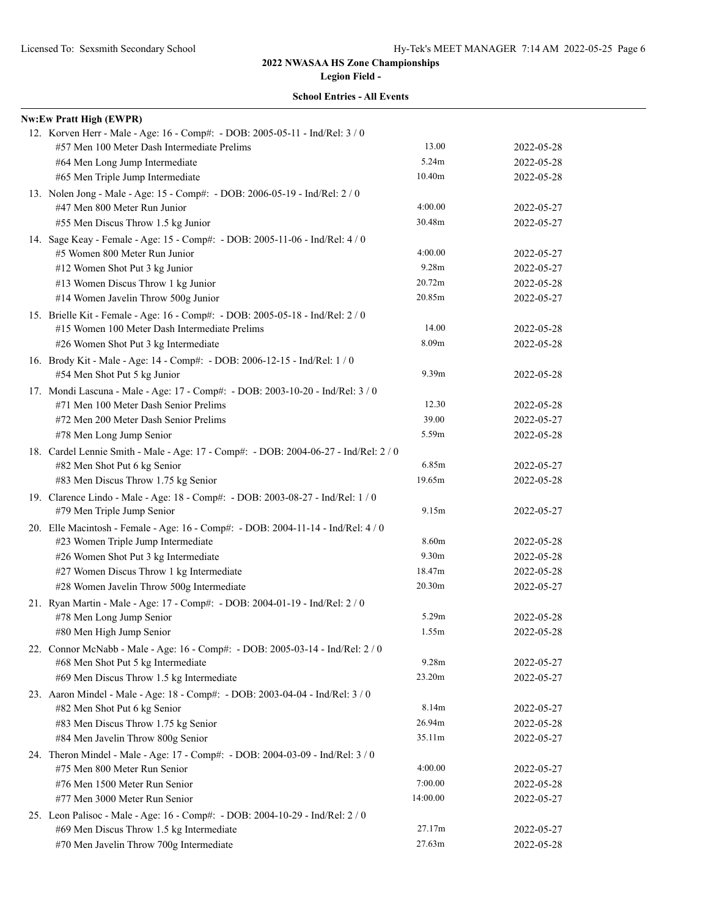|  | <b>School Entries - All Events</b> |  |  |
|--|------------------------------------|--|--|
|--|------------------------------------|--|--|

| <b>Nw:Ew Pratt High (EWPR)</b>                                                       |                   |            |
|--------------------------------------------------------------------------------------|-------------------|------------|
| 12. Korven Herr - Male - Age: 16 - Comp#: - DOB: 2005-05-11 - Ind/Rel: 3 / 0         |                   |            |
| #57 Men 100 Meter Dash Intermediate Prelims                                          | 13.00             | 2022-05-28 |
| #64 Men Long Jump Intermediate                                                       | 5.24m             | 2022-05-28 |
| #65 Men Triple Jump Intermediate                                                     | 10.40m            | 2022-05-28 |
| 13. Nolen Jong - Male - Age: 15 - Comp#: - DOB: 2006-05-19 - Ind/Rel: 2 / 0          |                   |            |
| #47 Men 800 Meter Run Junior                                                         | 4:00.00           | 2022-05-27 |
| #55 Men Discus Throw 1.5 kg Junior                                                   | 30.48m            | 2022-05-27 |
| 14. Sage Keay - Female - Age: 15 - Comp#: - DOB: 2005-11-06 - Ind/Rel: 4 / 0         |                   |            |
| #5 Women 800 Meter Run Junior                                                        | 4:00.00           | 2022-05-27 |
| #12 Women Shot Put 3 kg Junior                                                       | 9.28m             | 2022-05-27 |
| #13 Women Discus Throw 1 kg Junior                                                   | 20.72m            | 2022-05-28 |
| #14 Women Javelin Throw 500g Junior                                                  | 20.85m            | 2022-05-27 |
| 15. Brielle Kit - Female - Age: 16 - Comp#: - DOB: 2005-05-18 - Ind/Rel: 2 / 0       |                   |            |
| #15 Women 100 Meter Dash Intermediate Prelims                                        | 14.00             | 2022-05-28 |
| #26 Women Shot Put 3 kg Intermediate                                                 | 8.09 <sub>m</sub> | 2022-05-28 |
| 16. Brody Kit - Male - Age: 14 - Comp#: - DOB: 2006-12-15 - Ind/Rel: 1 / 0           |                   |            |
| #54 Men Shot Put 5 kg Junior                                                         | 9.39m             | 2022-05-28 |
| 17. Mondi Lascuna - Male - Age: 17 - Comp#: - DOB: 2003-10-20 - Ind/Rel: 3 / 0       |                   |            |
| #71 Men 100 Meter Dash Senior Prelims                                                | 12.30             | 2022-05-28 |
| #72 Men 200 Meter Dash Senior Prelims                                                | 39.00             | 2022-05-27 |
| #78 Men Long Jump Senior                                                             | 5.59m             | 2022-05-28 |
| 18. Cardel Lennie Smith - Male - Age: 17 - Comp#: - DOB: 2004-06-27 - Ind/Rel: 2 / 0 |                   |            |
| #82 Men Shot Put 6 kg Senior                                                         | 6.85m             | 2022-05-27 |
| #83 Men Discus Throw 1.75 kg Senior                                                  | 19.65m            | 2022-05-28 |
| 19. Clarence Lindo - Male - Age: 18 - Comp#: - DOB: 2003-08-27 - Ind/Rel: 1 / 0      |                   |            |
| #79 Men Triple Jump Senior                                                           | 9.15m             | 2022-05-27 |
| 20. Elle Macintosh - Female - Age: 16 - Comp#: - DOB: 2004-11-14 - Ind/Rel: 4 / 0    |                   |            |
| #23 Women Triple Jump Intermediate                                                   | 8.60m             | 2022-05-28 |
| #26 Women Shot Put 3 kg Intermediate                                                 | 9.30m             | 2022-05-28 |
| #27 Women Discus Throw 1 kg Intermediate                                             | 18.47m            | 2022-05-28 |
| #28 Women Javelin Throw 500g Intermediate                                            | 20.30m            | 2022-05-27 |
| 21. Ryan Martin - Male - Age: 17 - Comp#: - DOB: 2004-01-19 - Ind/Rel: 2 / 0         |                   |            |
| #78 Men Long Jump Senior                                                             | 5.29m             | 2022-05-28 |
| #80 Men High Jump Senior                                                             | 1.55m             | 2022-05-28 |
| 22. Connor McNabb - Male - Age: 16 - Comp#: - DOB: 2005-03-14 - Ind/Rel: 2/0         |                   |            |
| #68 Men Shot Put 5 kg Intermediate                                                   | 9.28m             | 2022-05-27 |
| #69 Men Discus Throw 1.5 kg Intermediate                                             | 23.20m            | 2022-05-27 |
| 23. Aaron Mindel - Male - Age: 18 - Comp#: - DOB: 2003-04-04 - Ind/Rel: 3 / 0        |                   |            |
| #82 Men Shot Put 6 kg Senior                                                         | 8.14m             | 2022-05-27 |
| #83 Men Discus Throw 1.75 kg Senior                                                  | 26.94m            | 2022-05-28 |
| #84 Men Javelin Throw 800g Senior                                                    | 35.11m            | 2022-05-27 |
| 24. Theron Mindel - Male - Age: 17 - Comp#: - DOB: 2004-03-09 - Ind/Rel: 3 / 0       |                   |            |
| #75 Men 800 Meter Run Senior                                                         | 4:00.00           | 2022-05-27 |
| #76 Men 1500 Meter Run Senior                                                        | 7:00.00           | 2022-05-28 |
| #77 Men 3000 Meter Run Senior                                                        | 14:00.00          | 2022-05-27 |
| 25. Leon Palisoc - Male - Age: 16 - Comp#: - DOB: 2004-10-29 - Ind/Rel: 2 / 0        |                   |            |
| #69 Men Discus Throw 1.5 kg Intermediate                                             | 27.17m            | 2022-05-27 |
| #70 Men Javelin Throw 700g Intermediate                                              | 27.63m            | 2022-05-28 |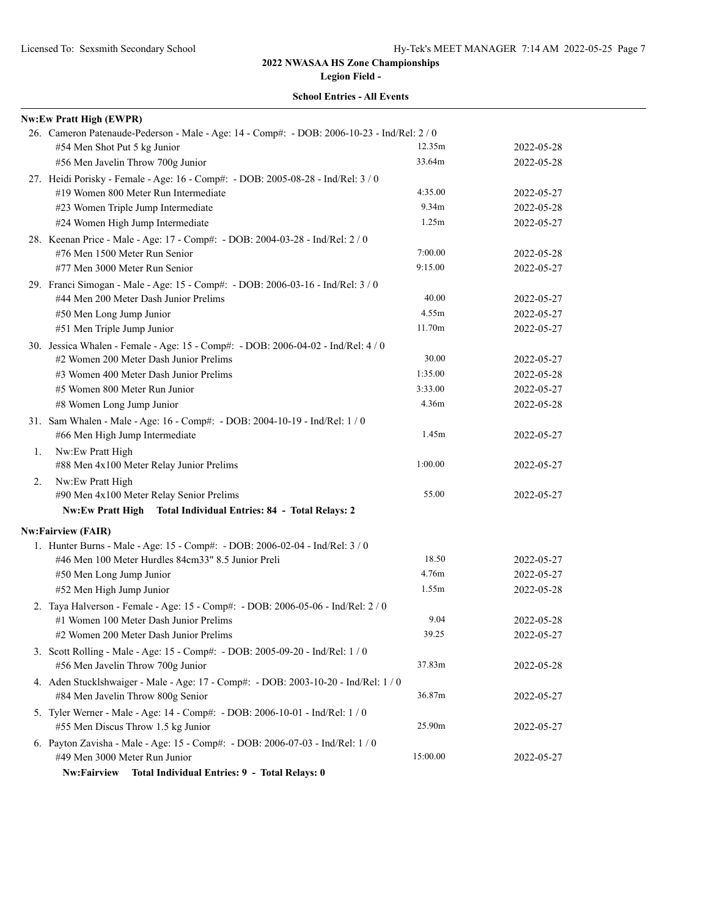| <b>School Entries - All Events</b> |  |
|------------------------------------|--|
|------------------------------------|--|

| #54 Men Shot Put 5 kg Junior                                 | 12.35m                                                                                                                                                                                                                                                                                                                                                                                                                                                                                                                                                                                                                                                                                                                                                                                                                                                                                                                                                                                                                                                                                                                                                                                                                                                                                                                                                                          | 2022-05-28                                                                                                                                                                                                                                                                         |
|--------------------------------------------------------------|---------------------------------------------------------------------------------------------------------------------------------------------------------------------------------------------------------------------------------------------------------------------------------------------------------------------------------------------------------------------------------------------------------------------------------------------------------------------------------------------------------------------------------------------------------------------------------------------------------------------------------------------------------------------------------------------------------------------------------------------------------------------------------------------------------------------------------------------------------------------------------------------------------------------------------------------------------------------------------------------------------------------------------------------------------------------------------------------------------------------------------------------------------------------------------------------------------------------------------------------------------------------------------------------------------------------------------------------------------------------------------|------------------------------------------------------------------------------------------------------------------------------------------------------------------------------------------------------------------------------------------------------------------------------------|
| #56 Men Javelin Throw 700g Junior                            |                                                                                                                                                                                                                                                                                                                                                                                                                                                                                                                                                                                                                                                                                                                                                                                                                                                                                                                                                                                                                                                                                                                                                                                                                                                                                                                                                                                 | 2022-05-28                                                                                                                                                                                                                                                                         |
|                                                              |                                                                                                                                                                                                                                                                                                                                                                                                                                                                                                                                                                                                                                                                                                                                                                                                                                                                                                                                                                                                                                                                                                                                                                                                                                                                                                                                                                                 |                                                                                                                                                                                                                                                                                    |
| #19 Women 800 Meter Run Intermediate                         | 4:35.00                                                                                                                                                                                                                                                                                                                                                                                                                                                                                                                                                                                                                                                                                                                                                                                                                                                                                                                                                                                                                                                                                                                                                                                                                                                                                                                                                                         | 2022-05-27                                                                                                                                                                                                                                                                         |
| #23 Women Triple Jump Intermediate                           | 9.34m                                                                                                                                                                                                                                                                                                                                                                                                                                                                                                                                                                                                                                                                                                                                                                                                                                                                                                                                                                                                                                                                                                                                                                                                                                                                                                                                                                           | 2022-05-28                                                                                                                                                                                                                                                                         |
| #24 Women High Jump Intermediate                             | 1.25m                                                                                                                                                                                                                                                                                                                                                                                                                                                                                                                                                                                                                                                                                                                                                                                                                                                                                                                                                                                                                                                                                                                                                                                                                                                                                                                                                                           | 2022-05-27                                                                                                                                                                                                                                                                         |
|                                                              |                                                                                                                                                                                                                                                                                                                                                                                                                                                                                                                                                                                                                                                                                                                                                                                                                                                                                                                                                                                                                                                                                                                                                                                                                                                                                                                                                                                 |                                                                                                                                                                                                                                                                                    |
| #76 Men 1500 Meter Run Senior                                | 7:00.00                                                                                                                                                                                                                                                                                                                                                                                                                                                                                                                                                                                                                                                                                                                                                                                                                                                                                                                                                                                                                                                                                                                                                                                                                                                                                                                                                                         | 2022-05-28                                                                                                                                                                                                                                                                         |
| #77 Men 3000 Meter Run Senior                                | 9:15.00                                                                                                                                                                                                                                                                                                                                                                                                                                                                                                                                                                                                                                                                                                                                                                                                                                                                                                                                                                                                                                                                                                                                                                                                                                                                                                                                                                         | 2022-05-27                                                                                                                                                                                                                                                                         |
|                                                              |                                                                                                                                                                                                                                                                                                                                                                                                                                                                                                                                                                                                                                                                                                                                                                                                                                                                                                                                                                                                                                                                                                                                                                                                                                                                                                                                                                                 |                                                                                                                                                                                                                                                                                    |
| #44 Men 200 Meter Dash Junior Prelims                        | 40.00                                                                                                                                                                                                                                                                                                                                                                                                                                                                                                                                                                                                                                                                                                                                                                                                                                                                                                                                                                                                                                                                                                                                                                                                                                                                                                                                                                           | 2022-05-27                                                                                                                                                                                                                                                                         |
| #50 Men Long Jump Junior                                     | 4.55m                                                                                                                                                                                                                                                                                                                                                                                                                                                                                                                                                                                                                                                                                                                                                                                                                                                                                                                                                                                                                                                                                                                                                                                                                                                                                                                                                                           | 2022-05-27                                                                                                                                                                                                                                                                         |
| #51 Men Triple Jump Junior                                   | 11.70m                                                                                                                                                                                                                                                                                                                                                                                                                                                                                                                                                                                                                                                                                                                                                                                                                                                                                                                                                                                                                                                                                                                                                                                                                                                                                                                                                                          | 2022-05-27                                                                                                                                                                                                                                                                         |
|                                                              |                                                                                                                                                                                                                                                                                                                                                                                                                                                                                                                                                                                                                                                                                                                                                                                                                                                                                                                                                                                                                                                                                                                                                                                                                                                                                                                                                                                 |                                                                                                                                                                                                                                                                                    |
| #2 Women 200 Meter Dash Junior Prelims                       | 30.00                                                                                                                                                                                                                                                                                                                                                                                                                                                                                                                                                                                                                                                                                                                                                                                                                                                                                                                                                                                                                                                                                                                                                                                                                                                                                                                                                                           | 2022-05-27                                                                                                                                                                                                                                                                         |
| #3 Women 400 Meter Dash Junior Prelims                       | 1:35.00                                                                                                                                                                                                                                                                                                                                                                                                                                                                                                                                                                                                                                                                                                                                                                                                                                                                                                                                                                                                                                                                                                                                                                                                                                                                                                                                                                         | 2022-05-28                                                                                                                                                                                                                                                                         |
| #5 Women 800 Meter Run Junior                                | 3:33.00                                                                                                                                                                                                                                                                                                                                                                                                                                                                                                                                                                                                                                                                                                                                                                                                                                                                                                                                                                                                                                                                                                                                                                                                                                                                                                                                                                         | 2022-05-27                                                                                                                                                                                                                                                                         |
| #8 Women Long Jump Junior                                    | 4.36m                                                                                                                                                                                                                                                                                                                                                                                                                                                                                                                                                                                                                                                                                                                                                                                                                                                                                                                                                                                                                                                                                                                                                                                                                                                                                                                                                                           | 2022-05-28                                                                                                                                                                                                                                                                         |
|                                                              |                                                                                                                                                                                                                                                                                                                                                                                                                                                                                                                                                                                                                                                                                                                                                                                                                                                                                                                                                                                                                                                                                                                                                                                                                                                                                                                                                                                 |                                                                                                                                                                                                                                                                                    |
| #66 Men High Jump Intermediate                               | 1.45m                                                                                                                                                                                                                                                                                                                                                                                                                                                                                                                                                                                                                                                                                                                                                                                                                                                                                                                                                                                                                                                                                                                                                                                                                                                                                                                                                                           | 2022-05-27                                                                                                                                                                                                                                                                         |
| Nw:Ew Pratt High                                             |                                                                                                                                                                                                                                                                                                                                                                                                                                                                                                                                                                                                                                                                                                                                                                                                                                                                                                                                                                                                                                                                                                                                                                                                                                                                                                                                                                                 | 2022-05-27                                                                                                                                                                                                                                                                         |
|                                                              |                                                                                                                                                                                                                                                                                                                                                                                                                                                                                                                                                                                                                                                                                                                                                                                                                                                                                                                                                                                                                                                                                                                                                                                                                                                                                                                                                                                 |                                                                                                                                                                                                                                                                                    |
|                                                              |                                                                                                                                                                                                                                                                                                                                                                                                                                                                                                                                                                                                                                                                                                                                                                                                                                                                                                                                                                                                                                                                                                                                                                                                                                                                                                                                                                                 | 2022-05-27                                                                                                                                                                                                                                                                         |
|                                                              |                                                                                                                                                                                                                                                                                                                                                                                                                                                                                                                                                                                                                                                                                                                                                                                                                                                                                                                                                                                                                                                                                                                                                                                                                                                                                                                                                                                 |                                                                                                                                                                                                                                                                                    |
|                                                              |                                                                                                                                                                                                                                                                                                                                                                                                                                                                                                                                                                                                                                                                                                                                                                                                                                                                                                                                                                                                                                                                                                                                                                                                                                                                                                                                                                                 |                                                                                                                                                                                                                                                                                    |
|                                                              |                                                                                                                                                                                                                                                                                                                                                                                                                                                                                                                                                                                                                                                                                                                                                                                                                                                                                                                                                                                                                                                                                                                                                                                                                                                                                                                                                                                 |                                                                                                                                                                                                                                                                                    |
|                                                              |                                                                                                                                                                                                                                                                                                                                                                                                                                                                                                                                                                                                                                                                                                                                                                                                                                                                                                                                                                                                                                                                                                                                                                                                                                                                                                                                                                                 | 2022-05-27                                                                                                                                                                                                                                                                         |
|                                                              |                                                                                                                                                                                                                                                                                                                                                                                                                                                                                                                                                                                                                                                                                                                                                                                                                                                                                                                                                                                                                                                                                                                                                                                                                                                                                                                                                                                 | 2022-05-27                                                                                                                                                                                                                                                                         |
|                                                              |                                                                                                                                                                                                                                                                                                                                                                                                                                                                                                                                                                                                                                                                                                                                                                                                                                                                                                                                                                                                                                                                                                                                                                                                                                                                                                                                                                                 | 2022-05-28                                                                                                                                                                                                                                                                         |
|                                                              |                                                                                                                                                                                                                                                                                                                                                                                                                                                                                                                                                                                                                                                                                                                                                                                                                                                                                                                                                                                                                                                                                                                                                                                                                                                                                                                                                                                 |                                                                                                                                                                                                                                                                                    |
|                                                              |                                                                                                                                                                                                                                                                                                                                                                                                                                                                                                                                                                                                                                                                                                                                                                                                                                                                                                                                                                                                                                                                                                                                                                                                                                                                                                                                                                                 |                                                                                                                                                                                                                                                                                    |
|                                                              |                                                                                                                                                                                                                                                                                                                                                                                                                                                                                                                                                                                                                                                                                                                                                                                                                                                                                                                                                                                                                                                                                                                                                                                                                                                                                                                                                                                 | 2022-05-28                                                                                                                                                                                                                                                                         |
|                                                              |                                                                                                                                                                                                                                                                                                                                                                                                                                                                                                                                                                                                                                                                                                                                                                                                                                                                                                                                                                                                                                                                                                                                                                                                                                                                                                                                                                                 | 2022-05-27                                                                                                                                                                                                                                                                         |
|                                                              |                                                                                                                                                                                                                                                                                                                                                                                                                                                                                                                                                                                                                                                                                                                                                                                                                                                                                                                                                                                                                                                                                                                                                                                                                                                                                                                                                                                 |                                                                                                                                                                                                                                                                                    |
|                                                              |                                                                                                                                                                                                                                                                                                                                                                                                                                                                                                                                                                                                                                                                                                                                                                                                                                                                                                                                                                                                                                                                                                                                                                                                                                                                                                                                                                                 | 2022-05-28                                                                                                                                                                                                                                                                         |
| #84 Men Javelin Throw 800g Senior                            | 36.87m                                                                                                                                                                                                                                                                                                                                                                                                                                                                                                                                                                                                                                                                                                                                                                                                                                                                                                                                                                                                                                                                                                                                                                                                                                                                                                                                                                          | 2022-05-27                                                                                                                                                                                                                                                                         |
|                                                              |                                                                                                                                                                                                                                                                                                                                                                                                                                                                                                                                                                                                                                                                                                                                                                                                                                                                                                                                                                                                                                                                                                                                                                                                                                                                                                                                                                                 |                                                                                                                                                                                                                                                                                    |
| #55 Men Discus Throw 1.5 kg Junior                           | 25.90m                                                                                                                                                                                                                                                                                                                                                                                                                                                                                                                                                                                                                                                                                                                                                                                                                                                                                                                                                                                                                                                                                                                                                                                                                                                                                                                                                                          | 2022-05-27                                                                                                                                                                                                                                                                         |
|                                                              |                                                                                                                                                                                                                                                                                                                                                                                                                                                                                                                                                                                                                                                                                                                                                                                                                                                                                                                                                                                                                                                                                                                                                                                                                                                                                                                                                                                 | 2022-05-27                                                                                                                                                                                                                                                                         |
| Total Individual Entries: 9 - Total Relays: 0<br>Nw:Fairview |                                                                                                                                                                                                                                                                                                                                                                                                                                                                                                                                                                                                                                                                                                                                                                                                                                                                                                                                                                                                                                                                                                                                                                                                                                                                                                                                                                                 |                                                                                                                                                                                                                                                                                    |
|                                                              | <b>Nw:Ew Pratt High (EWPR)</b><br>27. Heidi Porisky - Female - Age: 16 - Comp#: - DOB: 2005-08-28 - Ind/Rel: 3 / 0<br>28. Keenan Price - Male - Age: 17 - Comp#: - DOB: 2004-03-28 - Ind/Rel: 2 / 0<br>29. Franci Simogan - Male - Age: 15 - Comp#: - DOB: 2006-03-16 - Ind/Rel: 3 / 0<br>30. Jessica Whalen - Female - Age: 15 - Comp#: - DOB: 2006-04-02 - Ind/Rel: 4 / 0<br>31. Sam Whalen - Male - Age: 16 - Comp#: - DOB: 2004-10-19 - Ind/Rel: 1 / 0<br>#88 Men 4x100 Meter Relay Junior Prelims<br>Nw:Ew Pratt High<br>#90 Men 4x100 Meter Relay Senior Prelims<br>Total Individual Entries: 84 - Total Relays: 2<br><b>Nw:Ew Pratt High</b><br><b>Nw:Fairview (FAIR)</b><br>1. Hunter Burns - Male - Age: 15 - Comp#: - DOB: 2006-02-04 - Ind/Rel: 3 / 0<br>#46 Men 100 Meter Hurdles 84cm33" 8.5 Junior Preli<br>#50 Men Long Jump Junior<br>#52 Men High Jump Junior<br>2. Taya Halverson - Female - Age: 15 - Comp#: - DOB: 2006-05-06 - Ind/Rel: 2 / 0<br>#1 Women 100 Meter Dash Junior Prelims<br>#2 Women 200 Meter Dash Junior Prelims<br>3. Scott Rolling - Male - Age: 15 - Comp#: - DOB: 2005-09-20 - Ind/Rel: 1 / 0<br>#56 Men Javelin Throw 700g Junior<br>5. Tyler Werner - Male - Age: 14 - Comp#: - DOB: 2006-10-01 - Ind/Rel: 1 / 0<br>6. Payton Zavisha - Male - Age: 15 - Comp#: - DOB: 2006-07-03 - Ind/Rel: 1 / 0<br>#49 Men 3000 Meter Run Junior | 26. Cameron Patenaude-Pederson - Male - Age: 14 - Comp#: - DOB: 2006-10-23 - Ind/Rel: 2 / 0<br>33.64m<br>1:00.00<br>55.00<br>18.50<br>4.76m<br>1.55m<br>9.04<br>39.25<br>37.83m<br>4. Aden Stucklshwaiger - Male - Age: 17 - Comp#: - DOB: 2003-10-20 - Ind/Rel: 1 / 0<br>15:00.00 |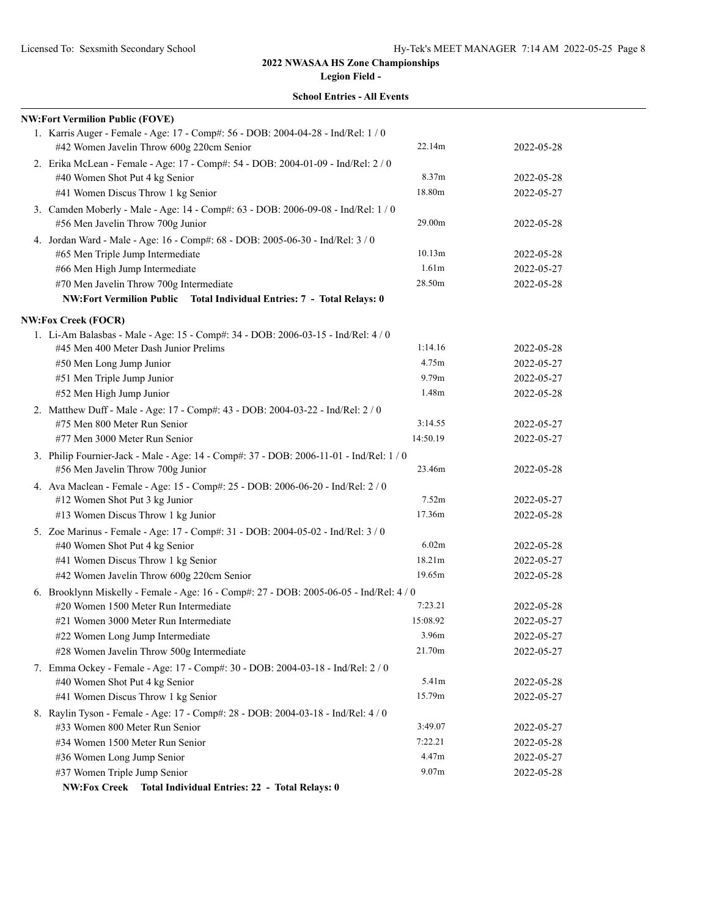**Legion Field - School Entries - All Events**

| <b>NW:Fort Vermilion Public (FOVE)</b>                                                                                 |                   |            |
|------------------------------------------------------------------------------------------------------------------------|-------------------|------------|
| 1. Karris Auger - Female - Age: 17 - Comp#: 56 - DOB: 2004-04-28 - Ind/Rel: 1 / 0                                      |                   |            |
| #42 Women Javelin Throw 600g 220cm Senior                                                                              | 22.14m            | 2022-05-28 |
| 2. Erika McLean - Female - Age: 17 - Comp#: 54 - DOB: 2004-01-09 - Ind/Rel: 2 / 0                                      |                   |            |
| #40 Women Shot Put 4 kg Senior                                                                                         | 8.37m             | 2022-05-28 |
| #41 Women Discus Throw 1 kg Senior                                                                                     | 18.80m            | 2022-05-27 |
| 3. Camden Moberly - Male - Age: 14 - Comp#: 63 - DOB: 2006-09-08 - Ind/Rel: 1 / 0<br>#56 Men Javelin Throw 700g Junior | 29.00m            | 2022-05-28 |
| 4. Jordan Ward - Male - Age: 16 - Comp#: 68 - DOB: 2005-06-30 - Ind/Rel: 3 / 0                                         |                   |            |
| #65 Men Triple Jump Intermediate                                                                                       | 10.13m            | 2022-05-28 |
| #66 Men High Jump Intermediate                                                                                         | 1.61m             | 2022-05-27 |
| #70 Men Javelin Throw 700g Intermediate                                                                                | 28.50m            | 2022-05-28 |
| NW:Fort Vermilion Public Total Individual Entries: 7 - Total Relays: 0                                                 |                   |            |
|                                                                                                                        |                   |            |
| <b>NW:Fox Creek (FOCR)</b><br>1. Li-Am Balasbas - Male - Age: 15 - Comp#: 34 - DOB: 2006-03-15 - Ind/Rel: 4 / 0        |                   |            |
| #45 Men 400 Meter Dash Junior Prelims                                                                                  | 1:14.16           | 2022-05-28 |
| #50 Men Long Jump Junior                                                                                               | 4.75m             | 2022-05-27 |
| #51 Men Triple Jump Junior                                                                                             | 9.79 <sub>m</sub> | 2022-05-27 |
| #52 Men High Jump Junior                                                                                               | 1.48m             | 2022-05-28 |
| 2. Matthew Duff - Male - Age: 17 - Comp#: 43 - DOB: 2004-03-22 - Ind/Rel: 2 / 0                                        |                   |            |
| #75 Men 800 Meter Run Senior                                                                                           | 3:14.55           | 2022-05-27 |
| #77 Men 3000 Meter Run Senior                                                                                          | 14:50.19          | 2022-05-27 |
| 3. Philip Fournier-Jack - Male - Age: 14 - Comp#: 37 - DOB: 2006-11-01 - Ind/Rel: 1 / 0                                |                   |            |
| #56 Men Javelin Throw 700g Junior                                                                                      | 23.46m            | 2022-05-28 |
| 4. Ava Maclean - Female - Age: 15 - Comp#: 25 - DOB: 2006-06-20 - Ind/Rel: 2 / 0                                       |                   |            |
| #12 Women Shot Put 3 kg Junior                                                                                         | 7.52m             | 2022-05-27 |
| #13 Women Discus Throw 1 kg Junior                                                                                     | 17.36m            | 2022-05-28 |
| 5. Zoe Marinus - Female - Age: 17 - Comp#: 31 - DOB: 2004-05-02 - Ind/Rel: 3 / 0                                       |                   |            |
| #40 Women Shot Put 4 kg Senior                                                                                         | 6.02m             | 2022-05-28 |
| #41 Women Discus Throw 1 kg Senior                                                                                     | 18.21m            | 2022-05-27 |
| #42 Women Javelin Throw 600g 220cm Senior                                                                              | 19.65m            | 2022-05-28 |
| 6. Brooklynn Miskelly - Female - Age: 16 - Comp#: 27 - DOB: 2005-06-05 - Ind/Rel: 4 / 0                                |                   |            |
| #20 Women 1500 Meter Run Intermediate                                                                                  | 7:23.21           | 2022-05-28 |
| #21 Women 3000 Meter Run Intermediate                                                                                  | 15:08.92          | 2022-05-27 |
| #22 Women Long Jump Intermediate                                                                                       | 3.96m             | 2022-05-27 |
| #28 Women Javelin Throw 500g Intermediate                                                                              | 21.70m            | 2022-05-27 |
| 7. Emma Ockey - Female - Age: 17 - Comp#: 30 - DOB: 2004-03-18 - Ind/Rel: 2 / 0                                        | 5.41m             |            |
| #40 Women Shot Put 4 kg Senior                                                                                         | 15.79m            | 2022-05-28 |
| #41 Women Discus Throw 1 kg Senior                                                                                     |                   | 2022-05-27 |
| 8. Raylin Tyson - Female - Age: 17 - Comp#: 28 - DOB: 2004-03-18 - Ind/Rel: 4 / 0<br>#33 Women 800 Meter Run Senior    | 3:49.07           | 2022-05-27 |
| #34 Women 1500 Meter Run Senior                                                                                        | 7:22.21           | 2022-05-28 |
| #36 Women Long Jump Senior                                                                                             | 4.47m             | 2022-05-27 |
| #37 Women Triple Jump Senior                                                                                           | 9.07m             | 2022-05-28 |
|                                                                                                                        |                   |            |

**NW:Fox Creek Total Individual Entries: 22 - Total Relays: 0**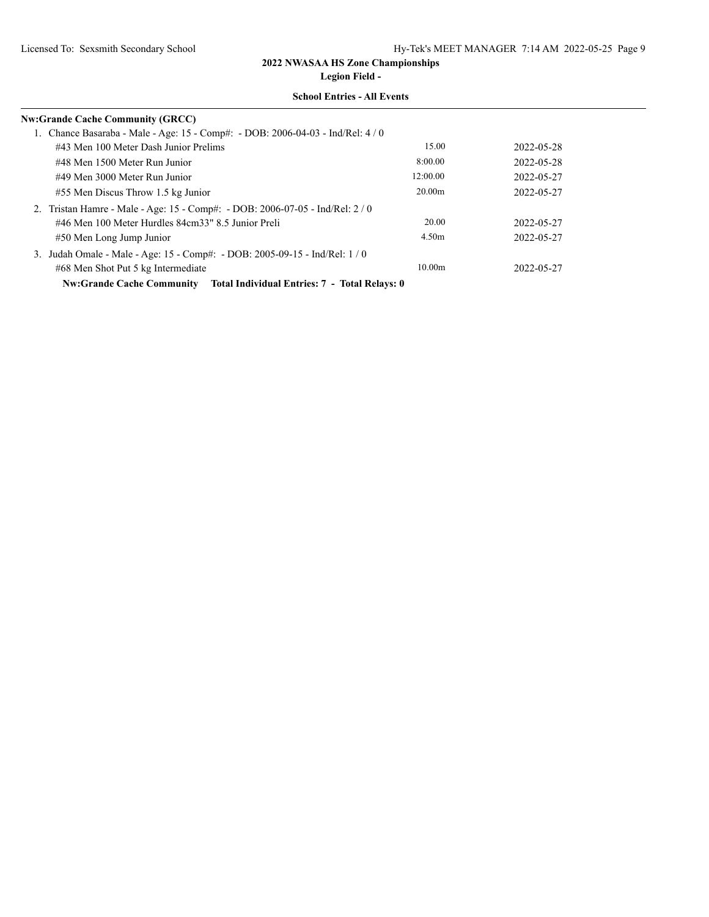**Legion Field -**

| <b>Nw:Grande Cache Community (GRCC)</b>                                           |                    |            |
|-----------------------------------------------------------------------------------|--------------------|------------|
| 1. Chance Basaraba - Male - Age: 15 - Comp#: - DOB: 2006-04-03 - Ind/Rel: 4 / 0   |                    |            |
| #43 Men 100 Meter Dash Junior Prelims                                             | 15.00              | 2022-05-28 |
| #48 Men 1500 Meter Run Junior                                                     | 8:00.00            | 2022-05-28 |
| #49 Men 3000 Meter Run Junior                                                     | 12:00.00           | 2022-05-27 |
| #55 Men Discus Throw 1.5 kg Junior                                                | 20.00 <sub>m</sub> | 2022-05-27 |
| 2. Tristan Hamre - Male - Age: 15 - Comp#: - DOB: 2006-07-05 - Ind/Rel: 2/0       |                    |            |
| #46 Men 100 Meter Hurdles 84cm33" 8.5 Junior Preli                                | 20.00              | 2022-05-27 |
| #50 Men Long Jump Junior                                                          | 4.50m              | 2022-05-27 |
| 3. Judah Omale - Male - Age: 15 - Comp#: - DOB: 2005-09-15 - Ind/Rel: 1/0         |                    |            |
| #68 Men Shot Put 5 kg Intermediate                                                | 10.00 <sub>m</sub> | 2022-05-27 |
| Total Individual Entries: 7 - Total Relays: 0<br><b>Nw:Grande Cache Community</b> |                    |            |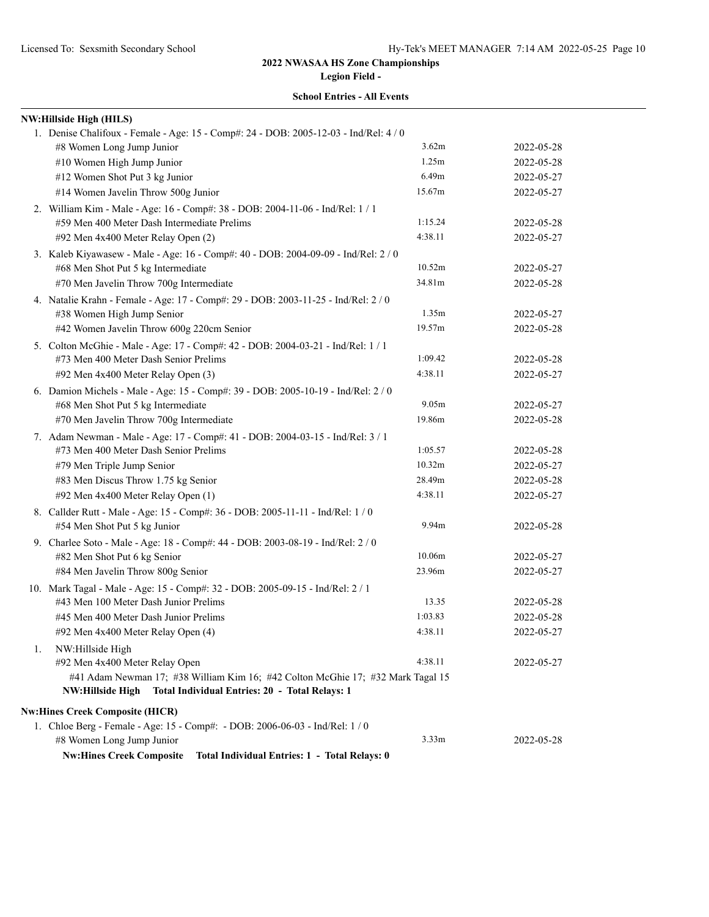**Legion Field -**

|    | NW:Hillside High (HILS)                                                                                                |         |            |
|----|------------------------------------------------------------------------------------------------------------------------|---------|------------|
|    | 1. Denise Chalifoux - Female - Age: 15 - Comp#: 24 - DOB: 2005-12-03 - Ind/Rel: 4 / 0                                  |         |            |
|    | #8 Women Long Jump Junior                                                                                              | 3.62m   | 2022-05-28 |
|    | #10 Women High Jump Junior                                                                                             | 1.25m   | 2022-05-28 |
|    | #12 Women Shot Put 3 kg Junior                                                                                         | 6.49m   | 2022-05-27 |
|    | #14 Women Javelin Throw 500g Junior                                                                                    | 15.67m  | 2022-05-27 |
|    | 2. William Kim - Male - Age: 16 - Comp#: 38 - DOB: 2004-11-06 - Ind/Rel: 1 / 1                                         |         |            |
|    | #59 Men 400 Meter Dash Intermediate Prelims                                                                            | 1:15.24 | 2022-05-28 |
|    | #92 Men 4x400 Meter Relay Open (2)                                                                                     | 4:38.11 | 2022-05-27 |
|    | 3. Kaleb Kiyawasew - Male - Age: 16 - Comp#: 40 - DOB: 2004-09-09 - Ind/Rel: 2 / 0                                     |         |            |
|    | #68 Men Shot Put 5 kg Intermediate                                                                                     | 10.52m  | 2022-05-27 |
|    | #70 Men Javelin Throw 700g Intermediate                                                                                | 34.81m  | 2022-05-28 |
|    | 4. Natalie Krahn - Female - Age: 17 - Comp#: 29 - DOB: 2003-11-25 - Ind/Rel: 2 / 0                                     |         |            |
|    | #38 Women High Jump Senior                                                                                             | 1.35m   | 2022-05-27 |
|    | #42 Women Javelin Throw 600g 220cm Senior                                                                              | 19.57m  | 2022-05-28 |
|    | 5. Colton McGhie - Male - Age: 17 - Comp#: 42 - DOB: 2004-03-21 - Ind/Rel: 1 / 1                                       |         |            |
|    | #73 Men 400 Meter Dash Senior Prelims                                                                                  | 1:09.42 | 2022-05-28 |
|    | #92 Men 4x400 Meter Relay Open (3)                                                                                     | 4:38.11 | 2022-05-27 |
|    | 6. Damion Michels - Male - Age: 15 - Comp#: 39 - DOB: 2005-10-19 - Ind/Rel: 2 / 0                                      |         |            |
|    | #68 Men Shot Put 5 kg Intermediate                                                                                     | 9.05m   | 2022-05-27 |
|    | #70 Men Javelin Throw 700g Intermediate                                                                                | 19.86m  | 2022-05-28 |
|    | 7. Adam Newman - Male - Age: 17 - Comp#: 41 - DOB: 2004-03-15 - Ind/Rel: 3 / 1                                         |         |            |
|    | #73 Men 400 Meter Dash Senior Prelims                                                                                  | 1:05.57 | 2022-05-28 |
|    | #79 Men Triple Jump Senior                                                                                             | 10.32m  | 2022-05-27 |
|    | #83 Men Discus Throw 1.75 kg Senior                                                                                    | 28.49m  | 2022-05-28 |
|    | #92 Men 4x400 Meter Relay Open (1)                                                                                     | 4:38.11 | 2022-05-27 |
|    | 8. Callder Rutt - Male - Age: 15 - Comp#: 36 - DOB: 2005-11-11 - Ind/Rel: 1 / 0                                        |         |            |
|    | #54 Men Shot Put 5 kg Junior                                                                                           | 9.94m   | 2022-05-28 |
|    | 9. Charlee Soto - Male - Age: 18 - Comp#: 44 - DOB: 2003-08-19 - Ind/Rel: 2 / 0                                        |         |            |
|    | #82 Men Shot Put 6 kg Senior                                                                                           | 10.06m  | 2022-05-27 |
|    | #84 Men Javelin Throw 800g Senior                                                                                      | 23.96m  | 2022-05-27 |
|    | 10. Mark Tagal - Male - Age: 15 - Comp#: 32 - DOB: 2005-09-15 - Ind/Rel: 2 / 1                                         |         |            |
|    | #43 Men 100 Meter Dash Junior Prelims                                                                                  | 13.35   | 2022-05-28 |
|    | #45 Men 400 Meter Dash Junior Prelims                                                                                  | 1:03.83 | 2022-05-28 |
|    | #92 Men 4x400 Meter Relay Open (4)                                                                                     | 4:38.11 | 2022-05-27 |
| 1. | NW:Hillside High                                                                                                       |         |            |
|    | #92 Men 4x400 Meter Relay Open                                                                                         | 4:38.11 | 2022-05-27 |
|    | #41 Adam Newman 17; #38 William Kim 16; #42 Colton McGhie 17; #32 Mark Tagal 15                                        |         |            |
|    | NW:Hillside High<br>Total Individual Entries: 20 - Total Relays: 1                                                     |         |            |
|    |                                                                                                                        |         |            |
|    | <b>Nw:Hines Creek Composite (HICR)</b><br>1. Chloe Berg - Female - Age: 15 - Comp#: - DOB: 2006-06-03 - Ind/Rel: 1 / 0 |         |            |
|    | #8 Women Long Jump Junior                                                                                              | 3.33m   | 2022-05-28 |
|    | <b>Nw:Hines Creek Composite</b><br>Total Individual Entries: 1 - Total Relays: 0                                       |         |            |
|    |                                                                                                                        |         |            |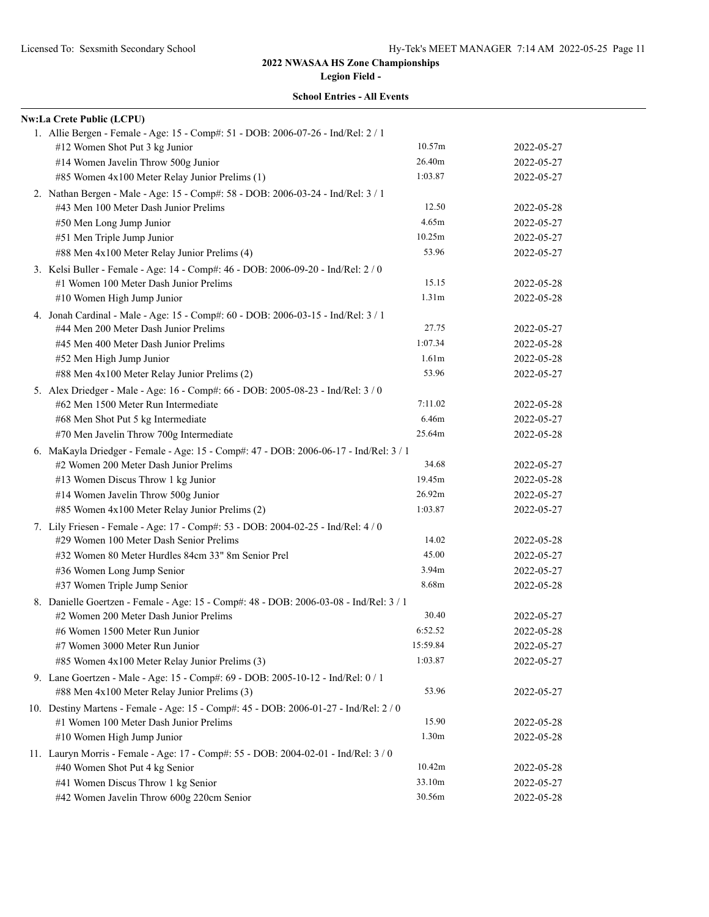|  | <b>School Entries - All Events</b> |  |  |
|--|------------------------------------|--|--|
|--|------------------------------------|--|--|

| <b>Nw:La Crete Public (LCPU)</b> |                                                                                                                                                                                                                                                                                                                                                                                                                                                                                                                                                                                                                                                                                                                                                                                                                                                                                                                                                                                                                                                                                                                                                                                                                                                                                                                                                                                               |                                                                                                                                                                                                                                                                                                                                                                                                                                                                                                                                                                                                                                                                                                                                                                                                                                                                                                                                                                               |
|----------------------------------|-----------------------------------------------------------------------------------------------------------------------------------------------------------------------------------------------------------------------------------------------------------------------------------------------------------------------------------------------------------------------------------------------------------------------------------------------------------------------------------------------------------------------------------------------------------------------------------------------------------------------------------------------------------------------------------------------------------------------------------------------------------------------------------------------------------------------------------------------------------------------------------------------------------------------------------------------------------------------------------------------------------------------------------------------------------------------------------------------------------------------------------------------------------------------------------------------------------------------------------------------------------------------------------------------------------------------------------------------------------------------------------------------|-------------------------------------------------------------------------------------------------------------------------------------------------------------------------------------------------------------------------------------------------------------------------------------------------------------------------------------------------------------------------------------------------------------------------------------------------------------------------------------------------------------------------------------------------------------------------------------------------------------------------------------------------------------------------------------------------------------------------------------------------------------------------------------------------------------------------------------------------------------------------------------------------------------------------------------------------------------------------------|
|                                  |                                                                                                                                                                                                                                                                                                                                                                                                                                                                                                                                                                                                                                                                                                                                                                                                                                                                                                                                                                                                                                                                                                                                                                                                                                                                                                                                                                                               |                                                                                                                                                                                                                                                                                                                                                                                                                                                                                                                                                                                                                                                                                                                                                                                                                                                                                                                                                                               |
|                                  | 10.57m                                                                                                                                                                                                                                                                                                                                                                                                                                                                                                                                                                                                                                                                                                                                                                                                                                                                                                                                                                                                                                                                                                                                                                                                                                                                                                                                                                                        | 2022-05-27                                                                                                                                                                                                                                                                                                                                                                                                                                                                                                                                                                                                                                                                                                                                                                                                                                                                                                                                                                    |
|                                  | 26.40m                                                                                                                                                                                                                                                                                                                                                                                                                                                                                                                                                                                                                                                                                                                                                                                                                                                                                                                                                                                                                                                                                                                                                                                                                                                                                                                                                                                        | 2022-05-27                                                                                                                                                                                                                                                                                                                                                                                                                                                                                                                                                                                                                                                                                                                                                                                                                                                                                                                                                                    |
|                                  | 1:03.87                                                                                                                                                                                                                                                                                                                                                                                                                                                                                                                                                                                                                                                                                                                                                                                                                                                                                                                                                                                                                                                                                                                                                                                                                                                                                                                                                                                       | 2022-05-27                                                                                                                                                                                                                                                                                                                                                                                                                                                                                                                                                                                                                                                                                                                                                                                                                                                                                                                                                                    |
|                                  |                                                                                                                                                                                                                                                                                                                                                                                                                                                                                                                                                                                                                                                                                                                                                                                                                                                                                                                                                                                                                                                                                                                                                                                                                                                                                                                                                                                               |                                                                                                                                                                                                                                                                                                                                                                                                                                                                                                                                                                                                                                                                                                                                                                                                                                                                                                                                                                               |
|                                  | 12.50                                                                                                                                                                                                                                                                                                                                                                                                                                                                                                                                                                                                                                                                                                                                                                                                                                                                                                                                                                                                                                                                                                                                                                                                                                                                                                                                                                                         | 2022-05-28                                                                                                                                                                                                                                                                                                                                                                                                                                                                                                                                                                                                                                                                                                                                                                                                                                                                                                                                                                    |
|                                  | 4.65m                                                                                                                                                                                                                                                                                                                                                                                                                                                                                                                                                                                                                                                                                                                                                                                                                                                                                                                                                                                                                                                                                                                                                                                                                                                                                                                                                                                         | 2022-05-27                                                                                                                                                                                                                                                                                                                                                                                                                                                                                                                                                                                                                                                                                                                                                                                                                                                                                                                                                                    |
|                                  | 10.25m                                                                                                                                                                                                                                                                                                                                                                                                                                                                                                                                                                                                                                                                                                                                                                                                                                                                                                                                                                                                                                                                                                                                                                                                                                                                                                                                                                                        | 2022-05-27                                                                                                                                                                                                                                                                                                                                                                                                                                                                                                                                                                                                                                                                                                                                                                                                                                                                                                                                                                    |
|                                  | 53.96                                                                                                                                                                                                                                                                                                                                                                                                                                                                                                                                                                                                                                                                                                                                                                                                                                                                                                                                                                                                                                                                                                                                                                                                                                                                                                                                                                                         | 2022-05-27                                                                                                                                                                                                                                                                                                                                                                                                                                                                                                                                                                                                                                                                                                                                                                                                                                                                                                                                                                    |
|                                  |                                                                                                                                                                                                                                                                                                                                                                                                                                                                                                                                                                                                                                                                                                                                                                                                                                                                                                                                                                                                                                                                                                                                                                                                                                                                                                                                                                                               |                                                                                                                                                                                                                                                                                                                                                                                                                                                                                                                                                                                                                                                                                                                                                                                                                                                                                                                                                                               |
|                                  | 15.15                                                                                                                                                                                                                                                                                                                                                                                                                                                                                                                                                                                                                                                                                                                                                                                                                                                                                                                                                                                                                                                                                                                                                                                                                                                                                                                                                                                         | 2022-05-28                                                                                                                                                                                                                                                                                                                                                                                                                                                                                                                                                                                                                                                                                                                                                                                                                                                                                                                                                                    |
|                                  | 1.31 <sub>m</sub>                                                                                                                                                                                                                                                                                                                                                                                                                                                                                                                                                                                                                                                                                                                                                                                                                                                                                                                                                                                                                                                                                                                                                                                                                                                                                                                                                                             | 2022-05-28                                                                                                                                                                                                                                                                                                                                                                                                                                                                                                                                                                                                                                                                                                                                                                                                                                                                                                                                                                    |
|                                  |                                                                                                                                                                                                                                                                                                                                                                                                                                                                                                                                                                                                                                                                                                                                                                                                                                                                                                                                                                                                                                                                                                                                                                                                                                                                                                                                                                                               |                                                                                                                                                                                                                                                                                                                                                                                                                                                                                                                                                                                                                                                                                                                                                                                                                                                                                                                                                                               |
|                                  | 27.75                                                                                                                                                                                                                                                                                                                                                                                                                                                                                                                                                                                                                                                                                                                                                                                                                                                                                                                                                                                                                                                                                                                                                                                                                                                                                                                                                                                         | 2022-05-27                                                                                                                                                                                                                                                                                                                                                                                                                                                                                                                                                                                                                                                                                                                                                                                                                                                                                                                                                                    |
|                                  | 1:07.34                                                                                                                                                                                                                                                                                                                                                                                                                                                                                                                                                                                                                                                                                                                                                                                                                                                                                                                                                                                                                                                                                                                                                                                                                                                                                                                                                                                       | 2022-05-28                                                                                                                                                                                                                                                                                                                                                                                                                                                                                                                                                                                                                                                                                                                                                                                                                                                                                                                                                                    |
|                                  | 1.61 <sub>m</sub>                                                                                                                                                                                                                                                                                                                                                                                                                                                                                                                                                                                                                                                                                                                                                                                                                                                                                                                                                                                                                                                                                                                                                                                                                                                                                                                                                                             | 2022-05-28                                                                                                                                                                                                                                                                                                                                                                                                                                                                                                                                                                                                                                                                                                                                                                                                                                                                                                                                                                    |
|                                  | 53.96                                                                                                                                                                                                                                                                                                                                                                                                                                                                                                                                                                                                                                                                                                                                                                                                                                                                                                                                                                                                                                                                                                                                                                                                                                                                                                                                                                                         | 2022-05-27                                                                                                                                                                                                                                                                                                                                                                                                                                                                                                                                                                                                                                                                                                                                                                                                                                                                                                                                                                    |
|                                  |                                                                                                                                                                                                                                                                                                                                                                                                                                                                                                                                                                                                                                                                                                                                                                                                                                                                                                                                                                                                                                                                                                                                                                                                                                                                                                                                                                                               |                                                                                                                                                                                                                                                                                                                                                                                                                                                                                                                                                                                                                                                                                                                                                                                                                                                                                                                                                                               |
|                                  | 7:11.02                                                                                                                                                                                                                                                                                                                                                                                                                                                                                                                                                                                                                                                                                                                                                                                                                                                                                                                                                                                                                                                                                                                                                                                                                                                                                                                                                                                       | 2022-05-28                                                                                                                                                                                                                                                                                                                                                                                                                                                                                                                                                                                                                                                                                                                                                                                                                                                                                                                                                                    |
|                                  | 6.46m                                                                                                                                                                                                                                                                                                                                                                                                                                                                                                                                                                                                                                                                                                                                                                                                                                                                                                                                                                                                                                                                                                                                                                                                                                                                                                                                                                                         | 2022-05-27                                                                                                                                                                                                                                                                                                                                                                                                                                                                                                                                                                                                                                                                                                                                                                                                                                                                                                                                                                    |
|                                  | 25.64m                                                                                                                                                                                                                                                                                                                                                                                                                                                                                                                                                                                                                                                                                                                                                                                                                                                                                                                                                                                                                                                                                                                                                                                                                                                                                                                                                                                        | 2022-05-28                                                                                                                                                                                                                                                                                                                                                                                                                                                                                                                                                                                                                                                                                                                                                                                                                                                                                                                                                                    |
|                                  |                                                                                                                                                                                                                                                                                                                                                                                                                                                                                                                                                                                                                                                                                                                                                                                                                                                                                                                                                                                                                                                                                                                                                                                                                                                                                                                                                                                               |                                                                                                                                                                                                                                                                                                                                                                                                                                                                                                                                                                                                                                                                                                                                                                                                                                                                                                                                                                               |
|                                  | 34.68                                                                                                                                                                                                                                                                                                                                                                                                                                                                                                                                                                                                                                                                                                                                                                                                                                                                                                                                                                                                                                                                                                                                                                                                                                                                                                                                                                                         | 2022-05-27                                                                                                                                                                                                                                                                                                                                                                                                                                                                                                                                                                                                                                                                                                                                                                                                                                                                                                                                                                    |
|                                  | 19.45m                                                                                                                                                                                                                                                                                                                                                                                                                                                                                                                                                                                                                                                                                                                                                                                                                                                                                                                                                                                                                                                                                                                                                                                                                                                                                                                                                                                        | 2022-05-28                                                                                                                                                                                                                                                                                                                                                                                                                                                                                                                                                                                                                                                                                                                                                                                                                                                                                                                                                                    |
|                                  | 26.92m                                                                                                                                                                                                                                                                                                                                                                                                                                                                                                                                                                                                                                                                                                                                                                                                                                                                                                                                                                                                                                                                                                                                                                                                                                                                                                                                                                                        | 2022-05-27                                                                                                                                                                                                                                                                                                                                                                                                                                                                                                                                                                                                                                                                                                                                                                                                                                                                                                                                                                    |
|                                  | 1:03.87                                                                                                                                                                                                                                                                                                                                                                                                                                                                                                                                                                                                                                                                                                                                                                                                                                                                                                                                                                                                                                                                                                                                                                                                                                                                                                                                                                                       | 2022-05-27                                                                                                                                                                                                                                                                                                                                                                                                                                                                                                                                                                                                                                                                                                                                                                                                                                                                                                                                                                    |
|                                  |                                                                                                                                                                                                                                                                                                                                                                                                                                                                                                                                                                                                                                                                                                                                                                                                                                                                                                                                                                                                                                                                                                                                                                                                                                                                                                                                                                                               |                                                                                                                                                                                                                                                                                                                                                                                                                                                                                                                                                                                                                                                                                                                                                                                                                                                                                                                                                                               |
|                                  | 14.02                                                                                                                                                                                                                                                                                                                                                                                                                                                                                                                                                                                                                                                                                                                                                                                                                                                                                                                                                                                                                                                                                                                                                                                                                                                                                                                                                                                         | 2022-05-28                                                                                                                                                                                                                                                                                                                                                                                                                                                                                                                                                                                                                                                                                                                                                                                                                                                                                                                                                                    |
|                                  | 45.00                                                                                                                                                                                                                                                                                                                                                                                                                                                                                                                                                                                                                                                                                                                                                                                                                                                                                                                                                                                                                                                                                                                                                                                                                                                                                                                                                                                         | 2022-05-27                                                                                                                                                                                                                                                                                                                                                                                                                                                                                                                                                                                                                                                                                                                                                                                                                                                                                                                                                                    |
|                                  | 3.94m                                                                                                                                                                                                                                                                                                                                                                                                                                                                                                                                                                                                                                                                                                                                                                                                                                                                                                                                                                                                                                                                                                                                                                                                                                                                                                                                                                                         | 2022-05-27                                                                                                                                                                                                                                                                                                                                                                                                                                                                                                                                                                                                                                                                                                                                                                                                                                                                                                                                                                    |
|                                  | 8.68m                                                                                                                                                                                                                                                                                                                                                                                                                                                                                                                                                                                                                                                                                                                                                                                                                                                                                                                                                                                                                                                                                                                                                                                                                                                                                                                                                                                         | 2022-05-28                                                                                                                                                                                                                                                                                                                                                                                                                                                                                                                                                                                                                                                                                                                                                                                                                                                                                                                                                                    |
|                                  |                                                                                                                                                                                                                                                                                                                                                                                                                                                                                                                                                                                                                                                                                                                                                                                                                                                                                                                                                                                                                                                                                                                                                                                                                                                                                                                                                                                               |                                                                                                                                                                                                                                                                                                                                                                                                                                                                                                                                                                                                                                                                                                                                                                                                                                                                                                                                                                               |
|                                  | 30.40                                                                                                                                                                                                                                                                                                                                                                                                                                                                                                                                                                                                                                                                                                                                                                                                                                                                                                                                                                                                                                                                                                                                                                                                                                                                                                                                                                                         | 2022-05-27                                                                                                                                                                                                                                                                                                                                                                                                                                                                                                                                                                                                                                                                                                                                                                                                                                                                                                                                                                    |
|                                  | 6:52.52                                                                                                                                                                                                                                                                                                                                                                                                                                                                                                                                                                                                                                                                                                                                                                                                                                                                                                                                                                                                                                                                                                                                                                                                                                                                                                                                                                                       | 2022-05-28                                                                                                                                                                                                                                                                                                                                                                                                                                                                                                                                                                                                                                                                                                                                                                                                                                                                                                                                                                    |
|                                  | 15:59.84                                                                                                                                                                                                                                                                                                                                                                                                                                                                                                                                                                                                                                                                                                                                                                                                                                                                                                                                                                                                                                                                                                                                                                                                                                                                                                                                                                                      | 2022-05-27                                                                                                                                                                                                                                                                                                                                                                                                                                                                                                                                                                                                                                                                                                                                                                                                                                                                                                                                                                    |
|                                  | 1:03.87                                                                                                                                                                                                                                                                                                                                                                                                                                                                                                                                                                                                                                                                                                                                                                                                                                                                                                                                                                                                                                                                                                                                                                                                                                                                                                                                                                                       | 2022-05-27                                                                                                                                                                                                                                                                                                                                                                                                                                                                                                                                                                                                                                                                                                                                                                                                                                                                                                                                                                    |
|                                  |                                                                                                                                                                                                                                                                                                                                                                                                                                                                                                                                                                                                                                                                                                                                                                                                                                                                                                                                                                                                                                                                                                                                                                                                                                                                                                                                                                                               |                                                                                                                                                                                                                                                                                                                                                                                                                                                                                                                                                                                                                                                                                                                                                                                                                                                                                                                                                                               |
|                                  | 53.96                                                                                                                                                                                                                                                                                                                                                                                                                                                                                                                                                                                                                                                                                                                                                                                                                                                                                                                                                                                                                                                                                                                                                                                                                                                                                                                                                                                         | 2022-05-27                                                                                                                                                                                                                                                                                                                                                                                                                                                                                                                                                                                                                                                                                                                                                                                                                                                                                                                                                                    |
|                                  |                                                                                                                                                                                                                                                                                                                                                                                                                                                                                                                                                                                                                                                                                                                                                                                                                                                                                                                                                                                                                                                                                                                                                                                                                                                                                                                                                                                               |                                                                                                                                                                                                                                                                                                                                                                                                                                                                                                                                                                                                                                                                                                                                                                                                                                                                                                                                                                               |
|                                  | 15.90                                                                                                                                                                                                                                                                                                                                                                                                                                                                                                                                                                                                                                                                                                                                                                                                                                                                                                                                                                                                                                                                                                                                                                                                                                                                                                                                                                                         | 2022-05-28                                                                                                                                                                                                                                                                                                                                                                                                                                                                                                                                                                                                                                                                                                                                                                                                                                                                                                                                                                    |
|                                  | 1.30 <sub>m</sub>                                                                                                                                                                                                                                                                                                                                                                                                                                                                                                                                                                                                                                                                                                                                                                                                                                                                                                                                                                                                                                                                                                                                                                                                                                                                                                                                                                             | 2022-05-28                                                                                                                                                                                                                                                                                                                                                                                                                                                                                                                                                                                                                                                                                                                                                                                                                                                                                                                                                                    |
|                                  |                                                                                                                                                                                                                                                                                                                                                                                                                                                                                                                                                                                                                                                                                                                                                                                                                                                                                                                                                                                                                                                                                                                                                                                                                                                                                                                                                                                               |                                                                                                                                                                                                                                                                                                                                                                                                                                                                                                                                                                                                                                                                                                                                                                                                                                                                                                                                                                               |
|                                  | 10.42m                                                                                                                                                                                                                                                                                                                                                                                                                                                                                                                                                                                                                                                                                                                                                                                                                                                                                                                                                                                                                                                                                                                                                                                                                                                                                                                                                                                        | 2022-05-28                                                                                                                                                                                                                                                                                                                                                                                                                                                                                                                                                                                                                                                                                                                                                                                                                                                                                                                                                                    |
|                                  | 33.10m                                                                                                                                                                                                                                                                                                                                                                                                                                                                                                                                                                                                                                                                                                                                                                                                                                                                                                                                                                                                                                                                                                                                                                                                                                                                                                                                                                                        | 2022-05-27                                                                                                                                                                                                                                                                                                                                                                                                                                                                                                                                                                                                                                                                                                                                                                                                                                                                                                                                                                    |
|                                  | 30.56m                                                                                                                                                                                                                                                                                                                                                                                                                                                                                                                                                                                                                                                                                                                                                                                                                                                                                                                                                                                                                                                                                                                                                                                                                                                                                                                                                                                        | 2022-05-28                                                                                                                                                                                                                                                                                                                                                                                                                                                                                                                                                                                                                                                                                                                                                                                                                                                                                                                                                                    |
|                                  | #12 Women Shot Put 3 kg Junior<br>#14 Women Javelin Throw 500g Junior<br>#85 Women 4x100 Meter Relay Junior Prelims (1)<br>#43 Men 100 Meter Dash Junior Prelims<br>#50 Men Long Jump Junior<br>#51 Men Triple Jump Junior<br>#88 Men 4x100 Meter Relay Junior Prelims (4)<br>#1 Women 100 Meter Dash Junior Prelims<br>#10 Women High Jump Junior<br>#44 Men 200 Meter Dash Junior Prelims<br>#45 Men 400 Meter Dash Junior Prelims<br>#52 Men High Jump Junior<br>#88 Men 4x100 Meter Relay Junior Prelims (2)<br>#62 Men 1500 Meter Run Intermediate<br>#68 Men Shot Put 5 kg Intermediate<br>#70 Men Javelin Throw 700g Intermediate<br>#2 Women 200 Meter Dash Junior Prelims<br>#13 Women Discus Throw 1 kg Junior<br>#14 Women Javelin Throw 500g Junior<br>#85 Women 4x100 Meter Relay Junior Prelims (2)<br>#29 Women 100 Meter Dash Senior Prelims<br>#32 Women 80 Meter Hurdles 84cm 33" 8m Senior Prel<br>#36 Women Long Jump Senior<br>#37 Women Triple Jump Senior<br>#2 Women 200 Meter Dash Junior Prelims<br>#6 Women 1500 Meter Run Junior<br>#7 Women 3000 Meter Run Junior<br>#85 Women 4x100 Meter Relay Junior Prelims (3)<br>#88 Men 4x100 Meter Relay Junior Prelims (3)<br>#1 Women 100 Meter Dash Junior Prelims<br>#10 Women High Jump Junior<br>#40 Women Shot Put 4 kg Senior<br>#41 Women Discus Throw 1 kg Senior<br>#42 Women Javelin Throw 600g 220cm Senior | 1. Allie Bergen - Female - Age: 15 - Comp#: 51 - DOB: 2006-07-26 - Ind/Rel: 2 / 1<br>2. Nathan Bergen - Male - Age: 15 - Comp#: 58 - DOB: 2006-03-24 - Ind/Rel: 3 / 1<br>3. Kelsi Buller - Female - Age: 14 - Comp#: 46 - DOB: 2006-09-20 - Ind/Rel: 2 / 0<br>4. Jonah Cardinal - Male - Age: 15 - Comp#: 60 - DOB: 2006-03-15 - Ind/Rel: 3 / 1<br>5. Alex Driedger - Male - Age: 16 - Comp#: 66 - DOB: 2005-08-23 - Ind/Rel: 3 / 0<br>6. MaKayla Driedger - Female - Age: 15 - Comp#: 47 - DOB: 2006-06-17 - Ind/Rel: 3 / 1<br>7. Lily Friesen - Female - Age: 17 - Comp#: 53 - DOB: 2004-02-25 - Ind/Rel: 4 / 0<br>8. Danielle Goertzen - Female - Age: 15 - Comp#: 48 - DOB: 2006-03-08 - Ind/Rel: 3 / 1<br>9. Lane Goertzen - Male - Age: 15 - Comp#: 69 - DOB: 2005-10-12 - Ind/Rel: 0 / 1<br>10. Destiny Martens - Female - Age: 15 - Comp#: 45 - DOB: 2006-01-27 - Ind/Rel: 2 / 0<br>11. Lauryn Morris - Female - Age: 17 - Comp#: 55 - DOB: 2004-02-01 - Ind/Rel: 3/0 |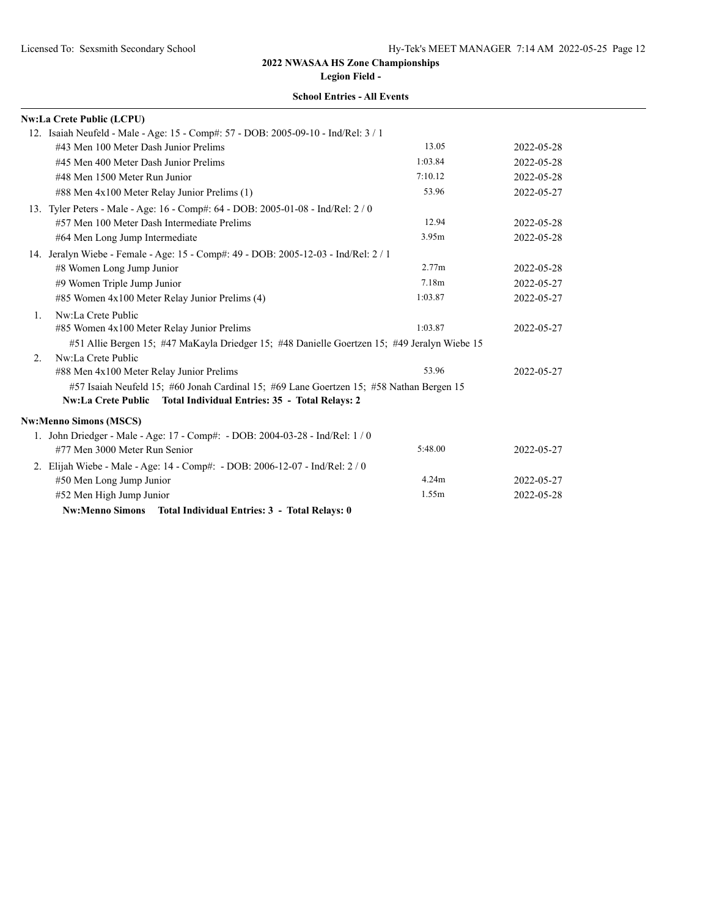**Legion Field -**

|    | <b>Nw:La Crete Public (LCPU)</b>                                                             |         |            |
|----|----------------------------------------------------------------------------------------------|---------|------------|
|    | 12. Isaiah Neufeld - Male - Age: 15 - Comp#: 57 - DOB: 2005-09-10 - Ind/Rel: 3 / 1           |         |            |
|    | #43 Men 100 Meter Dash Junior Prelims                                                        | 13.05   | 2022-05-28 |
|    | #45 Men 400 Meter Dash Junior Prelims                                                        | 1:03.84 | 2022-05-28 |
|    | #48 Men 1500 Meter Run Junior                                                                | 7:10.12 | 2022-05-28 |
|    | #88 Men 4x100 Meter Relay Junior Prelims (1)                                                 | 53.96   | 2022-05-27 |
|    | 13. Tyler Peters - Male - Age: 16 - Comp#: 64 - DOB: 2005-01-08 - Ind/Rel: 2 / 0             |         |            |
|    | #57 Men 100 Meter Dash Intermediate Prelims                                                  | 12.94   | 2022-05-28 |
|    | #64 Men Long Jump Intermediate                                                               | 3.95m   | 2022-05-28 |
|    | 14. Jeralyn Wiebe - Female - Age: 15 - Comp#: 49 - DOB: 2005-12-03 - Ind/Rel: 2 / 1          |         |            |
|    | #8 Women Long Jump Junior                                                                    | 2.77m   | 2022-05-28 |
|    | #9 Women Triple Jump Junior                                                                  | 7.18m   | 2022-05-27 |
|    | #85 Women 4x100 Meter Relay Junior Prelims (4)                                               | 1:03.87 | 2022-05-27 |
| 1. | Nw:La Crete Public                                                                           |         |            |
|    | #85 Women 4x100 Meter Relay Junior Prelims                                                   | 1:03.87 | 2022-05-27 |
|    | #51 Allie Bergen 15; #47 MaKayla Driedger 15; #48 Danielle Goertzen 15; #49 Jeralyn Wiebe 15 |         |            |
| 2. | Nw:La Crete Public                                                                           |         |            |
|    | #88 Men 4x100 Meter Relay Junior Prelims                                                     | 53.96   | 2022-05-27 |
|    | #57 Isaiah Neufeld 15; #60 Jonah Cardinal 15; #69 Lane Goertzen 15; #58 Nathan Bergen 15     |         |            |
|    | Nw:La Crete Public Total Individual Entries: 35 - Total Relays: 2                            |         |            |
|    | <b>Nw:Menno Simons (MSCS)</b>                                                                |         |            |
|    | 1. John Driedger - Male - Age: 17 - Comp#: - DOB: 2004-03-28 - Ind/Rel: 1 / 0                |         |            |
|    | #77 Men 3000 Meter Run Senior                                                                | 5:48.00 | 2022-05-27 |
|    | 2. Elijah Wiebe - Male - Age: 14 - Comp#: - DOB: 2006-12-07 - Ind/Rel: 2 / 0                 |         |            |
|    | #50 Men Long Jump Junior                                                                     | 4.24m   | 2022-05-27 |
|    | #52 Men High Jump Junior                                                                     | 1.55m   | 2022-05-28 |
|    | Nw:Menno Simons Total Individual Entries: 3 - Total Relays: 0                                |         |            |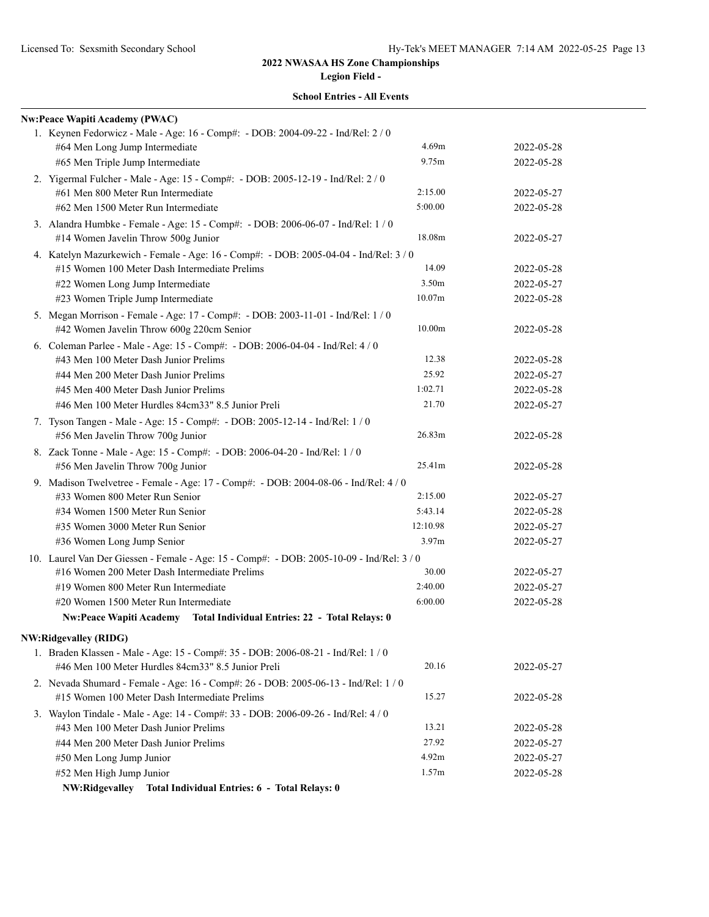**Legion Field - School Entries - All Events**

| <b>Nw:Peace Wapiti Academy (PWAC)</b>                                                     |                    |            |
|-------------------------------------------------------------------------------------------|--------------------|------------|
| 1. Keynen Fedorwicz - Male - Age: 16 - Comp#: - DOB: 2004-09-22 - Ind/Rel: 2 / 0          |                    |            |
| #64 Men Long Jump Intermediate                                                            | 4.69m              | 2022-05-28 |
| #65 Men Triple Jump Intermediate                                                          | 9.75m              | 2022-05-28 |
| 2. Yigermal Fulcher - Male - Age: 15 - Comp#: - DOB: 2005-12-19 - Ind/Rel: 2 / 0          |                    |            |
| #61 Men 800 Meter Run Intermediate                                                        | 2:15.00            | 2022-05-27 |
| #62 Men 1500 Meter Run Intermediate                                                       | 5:00.00            | 2022-05-28 |
| 3. Alandra Humbke - Female - Age: 15 - Comp#: - DOB: 2006-06-07 - Ind/Rel: 1 / 0          |                    |            |
| #14 Women Javelin Throw 500g Junior                                                       | 18.08m             | 2022-05-27 |
| 4. Katelyn Mazurkewich - Female - Age: 16 - Comp#: - DOB: 2005-04-04 - Ind/Rel: 3 / 0     |                    |            |
| #15 Women 100 Meter Dash Intermediate Prelims                                             | 14.09              | 2022-05-28 |
| #22 Women Long Jump Intermediate                                                          | 3.50m              | 2022-05-27 |
| #23 Women Triple Jump Intermediate                                                        | 10.07m             | 2022-05-28 |
| 5. Megan Morrison - Female - Age: 17 - Comp#: - DOB: 2003-11-01 - Ind/Rel: 1 / 0          |                    |            |
| #42 Women Javelin Throw 600g 220cm Senior                                                 | 10.00 <sub>m</sub> | 2022-05-28 |
| 6. Coleman Parlee - Male - Age: 15 - Comp#: - DOB: 2006-04-04 - Ind/Rel: 4 / 0            |                    |            |
| #43 Men 100 Meter Dash Junior Prelims                                                     | 12.38              | 2022-05-28 |
| #44 Men 200 Meter Dash Junior Prelims                                                     | 25.92              | 2022-05-27 |
| #45 Men 400 Meter Dash Junior Prelims                                                     | 1:02.71            | 2022-05-28 |
| #46 Men 100 Meter Hurdles 84cm33" 8.5 Junior Preli                                        | 21.70              | 2022-05-27 |
| 7. Tyson Tangen - Male - Age: 15 - Comp#: - DOB: 2005-12-14 - Ind/Rel: 1 / 0              |                    |            |
| #56 Men Javelin Throw 700g Junior                                                         | 26.83m             | 2022-05-28 |
| 8. Zack Tonne - Male - Age: 15 - Comp#: - DOB: 2006-04-20 - Ind/Rel: 1 / 0                |                    |            |
| #56 Men Javelin Throw 700g Junior                                                         | 25.41m             | 2022-05-28 |
| 9. Madison Twelvetree - Female - Age: 17 - Comp#: - DOB: 2004-08-06 - Ind/Rel: 4 / 0      |                    |            |
| #33 Women 800 Meter Run Senior                                                            | 2:15.00            | 2022-05-27 |
| #34 Women 1500 Meter Run Senior                                                           | 5:43.14            | 2022-05-28 |
| #35 Women 3000 Meter Run Senior                                                           | 12:10.98           | 2022-05-27 |
| #36 Women Long Jump Senior                                                                | 3.97m              | 2022-05-27 |
| 10. Laurel Van Der Giessen - Female - Age: 15 - Comp#: - DOB: 2005-10-09 - Ind/Rel: 3 / 0 |                    |            |
| #16 Women 200 Meter Dash Intermediate Prelims                                             | 30.00              | 2022-05-27 |
| #19 Women 800 Meter Run Intermediate                                                      | 2:40.00            | 2022-05-27 |
| #20 Women 1500 Meter Run Intermediate                                                     | 6:00.00            | 2022-05-28 |
| Nw:Peace Wapiti Academy Total Individual Entries: 22 - Total Relays: 0                    |                    |            |
| <b>NW:Ridgevalley (RIDG)</b>                                                              |                    |            |
| 1. Braden Klassen - Male - Age: 15 - Comp#: 35 - DOB: 2006-08-21 - Ind/Rel: 1 / 0         |                    |            |
| #46 Men 100 Meter Hurdles 84cm33" 8.5 Junior Preli                                        | 20.16              | 2022-05-27 |
| 2. Nevada Shumard - Female - Age: 16 - Comp#: 26 - DOB: 2005-06-13 - Ind/Rel: 1 / 0       |                    |            |
| #15 Women 100 Meter Dash Intermediate Prelims                                             | 15.27              | 2022-05-28 |
| 3. Waylon Tindale - Male - Age: 14 - Comp#: 33 - DOB: 2006-09-26 - Ind/Rel: 4 / 0         |                    |            |
| #43 Men 100 Meter Dash Junior Prelims                                                     | 13.21              | 2022-05-28 |
| #44 Men 200 Meter Dash Junior Prelims                                                     | 27.92              | 2022-05-27 |
| #50 Men Long Jump Junior                                                                  | 4.92m              | 2022-05-27 |
| #52 Men High Jump Junior                                                                  | 1.57m              | 2022-05-28 |

**NW:Ridgevalley Total Individual Entries: 6 - Total Relays: 0**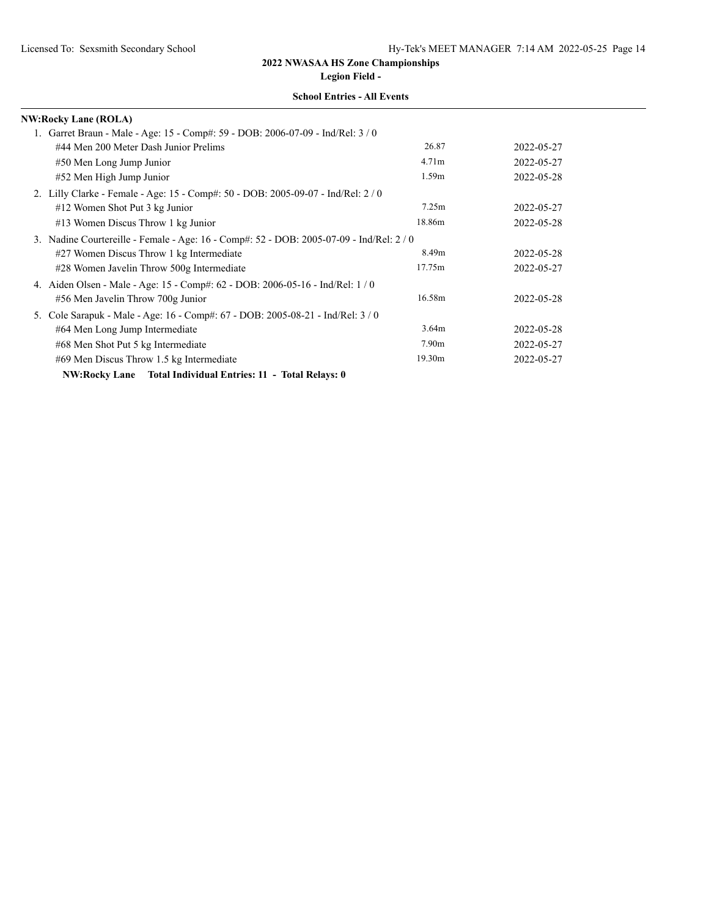| <b>School Entries - All Events</b> |
|------------------------------------|
|------------------------------------|

| <b>NW:Rocky Lane (ROLA)</b>                                                            |                   |            |
|----------------------------------------------------------------------------------------|-------------------|------------|
| 1. Garret Braun - Male - Age: 15 - Comp#: 59 - DOB: 2006-07-09 - Ind/Rel: 3/0          |                   |            |
| #44 Men 200 Meter Dash Junior Prelims                                                  | 26.87             | 2022-05-27 |
| #50 Men Long Jump Junior                                                               | 4.71 <sub>m</sub> | 2022-05-27 |
| #52 Men High Jump Junior                                                               | 1.59m             | 2022-05-28 |
| 2. Lilly Clarke - Female - Age: 15 - Comp#: 50 - DOB: 2005-09-07 - Ind/Rel: 2 / 0      |                   |            |
| #12 Women Shot Put 3 kg Junior                                                         | 7.25m             | 2022-05-27 |
| #13 Women Discus Throw 1 kg Junior                                                     | 18.86m            | 2022-05-28 |
| 3. Nadine Courtereille - Female - Age: 16 - Comp#: 52 - DOB: 2005-07-09 - Ind/Rel: 2/0 |                   |            |
| #27 Women Discus Throw 1 kg Intermediate                                               | 8.49m             | 2022-05-28 |
| #28 Women Javelin Throw 500g Intermediate                                              | 17.75m            | 2022-05-27 |
| 4. Aiden Olsen - Male - Age: 15 - Comp#: 62 - DOB: 2006-05-16 - Ind/Rel: 1 / 0         |                   |            |
| #56 Men Javelin Throw 700g Junior                                                      | 16.58m            | 2022-05-28 |
| 5. Cole Sarapuk - Male - Age: 16 - Comp#: 67 - DOB: 2005-08-21 - Ind/Rel: 3 / 0        |                   |            |
| #64 Men Long Jump Intermediate                                                         | 3.64m             | 2022-05-28 |
| #68 Men Shot Put 5 kg Intermediate                                                     | 7.90 <sub>m</sub> | 2022-05-27 |
| #69 Men Discus Throw 1.5 kg Intermediate                                               | 19.30m            | 2022-05-27 |
| NW:Rocky Lane Total Individual Entries: 11 - Total Relays: 0                           |                   |            |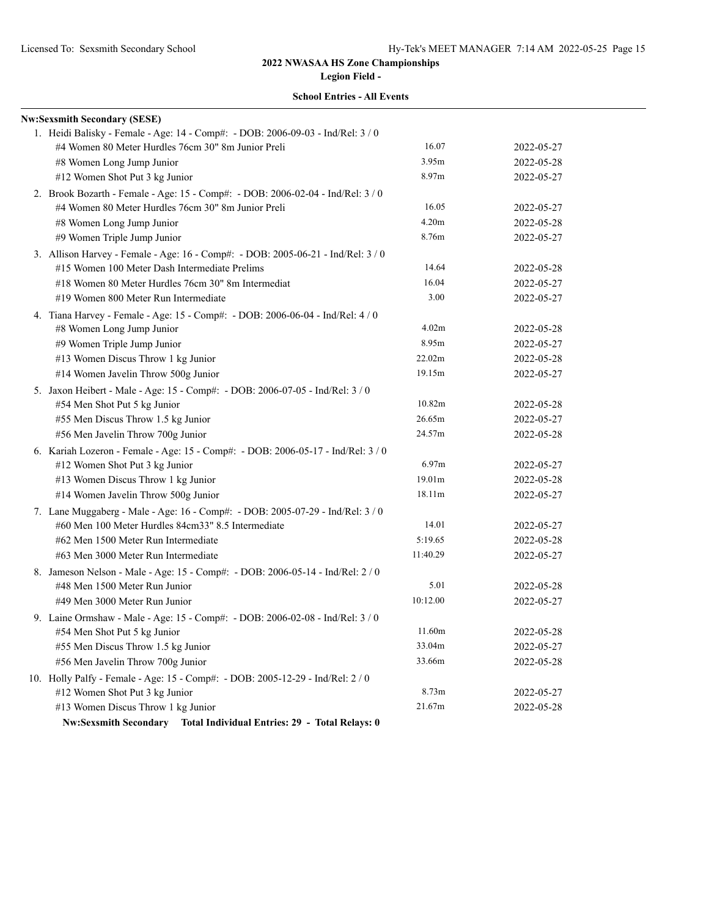| <b>School Entries - All Events</b> |  |
|------------------------------------|--|
|------------------------------------|--|

| <b>Nw:Sexsmith Secondary (SESE)</b>                                              |          |            |
|----------------------------------------------------------------------------------|----------|------------|
| 1. Heidi Balisky - Female - Age: 14 - Comp#: - DOB: 2006-09-03 - Ind/Rel: 3 / 0  |          |            |
| #4 Women 80 Meter Hurdles 76cm 30" 8m Junior Preli                               | 16.07    | 2022-05-27 |
| #8 Women Long Jump Junior                                                        | 3.95m    | 2022-05-28 |
| #12 Women Shot Put 3 kg Junior                                                   | 8.97m    | 2022-05-27 |
| 2. Brook Bozarth - Female - Age: 15 - Comp#: - DOB: 2006-02-04 - Ind/Rel: 3 / 0  |          |            |
| #4 Women 80 Meter Hurdles 76cm 30" 8m Junior Preli                               | 16.05    | 2022-05-27 |
| #8 Women Long Jump Junior                                                        | 4.20m    | 2022-05-28 |
| #9 Women Triple Jump Junior                                                      | 8.76m    | 2022-05-27 |
| 3. Allison Harvey - Female - Age: 16 - Comp#: - DOB: 2005-06-21 - Ind/Rel: 3 / 0 |          |            |
| #15 Women 100 Meter Dash Intermediate Prelims                                    | 14.64    | 2022-05-28 |
| #18 Women 80 Meter Hurdles 76cm 30" 8m Intermediat                               | 16.04    | 2022-05-27 |
| #19 Women 800 Meter Run Intermediate                                             | 3.00     | 2022-05-27 |
| 4. Tiana Harvey - Female - Age: 15 - Comp#: - DOB: 2006-06-04 - Ind/Rel: 4 / 0   |          |            |
| #8 Women Long Jump Junior                                                        | 4.02m    | 2022-05-28 |
| #9 Women Triple Jump Junior                                                      | 8.95m    | 2022-05-27 |
| #13 Women Discus Throw 1 kg Junior                                               | 22.02m   | 2022-05-28 |
| #14 Women Javelin Throw 500g Junior                                              | 19.15m   | 2022-05-27 |
| 5. Jaxon Heibert - Male - Age: 15 - Comp#: - DOB: 2006-07-05 - Ind/Rel: 3 / 0    |          |            |
| #54 Men Shot Put 5 kg Junior                                                     | 10.82m   | 2022-05-28 |
| #55 Men Discus Throw 1.5 kg Junior                                               | 26.65m   | 2022-05-27 |
| #56 Men Javelin Throw 700g Junior                                                | 24.57m   | 2022-05-28 |
| 6. Kariah Lozeron - Female - Age: 15 - Comp#: - DOB: 2006-05-17 - Ind/Rel: 3 / 0 |          |            |
| #12 Women Shot Put 3 kg Junior                                                   | 6.97m    | 2022-05-27 |
| #13 Women Discus Throw 1 kg Junior                                               | 19.01m   | 2022-05-28 |
| #14 Women Javelin Throw 500g Junior                                              | 18.11m   | 2022-05-27 |
| 7. Lane Muggaberg - Male - Age: 16 - Comp#: - DOB: 2005-07-29 - Ind/Rel: 3 / 0   |          |            |
| #60 Men 100 Meter Hurdles 84cm33" 8.5 Intermediate                               | 14.01    | 2022-05-27 |
| #62 Men 1500 Meter Run Intermediate                                              | 5:19.65  | 2022-05-28 |
| #63 Men 3000 Meter Run Intermediate                                              | 11:40.29 | 2022-05-27 |
| 8. Jameson Nelson - Male - Age: 15 - Comp#: - DOB: 2006-05-14 - Ind/Rel: 2 / 0   |          |            |
| #48 Men 1500 Meter Run Junior                                                    | 5.01     | 2022-05-28 |
| #49 Men 3000 Meter Run Junior                                                    | 10:12.00 | 2022-05-27 |
| 9. Laine Ormshaw - Male - Age: 15 - Comp#: - DOB: 2006-02-08 - Ind/Rel: 3 / 0    |          |            |
| #54 Men Shot Put 5 kg Junior                                                     | 11.60m   | 2022-05-28 |
| #55 Men Discus Throw 1.5 kg Junior                                               | 33.04m   | 2022-05-27 |
| #56 Men Javelin Throw 700g Junior                                                | 33.66m   | 2022-05-28 |
| 10. Holly Palfy - Female - Age: 15 - Comp#: - DOB: 2005-12-29 - Ind/Rel: 2 / 0   |          |            |
| #12 Women Shot Put 3 kg Junior                                                   | 8.73m    | 2022-05-27 |
| #13 Women Discus Throw 1 kg Junior                                               | 21.67m   | 2022-05-28 |
| Nw:Sexsmith Secondary Total Individual Entries: 29 - Total Relays: 0             |          |            |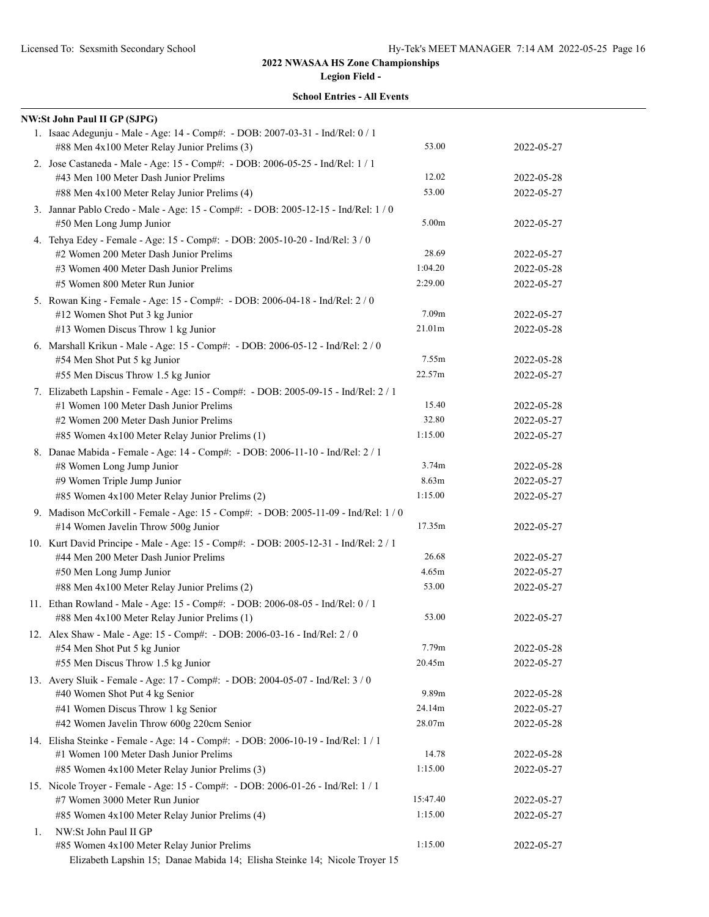|  | <b>School Entries - All Events</b> |  |  |
|--|------------------------------------|--|--|
|--|------------------------------------|--|--|

|    | <b>NW:St John Paul II GP (SJPG)</b>                                                                                            |          |            |
|----|--------------------------------------------------------------------------------------------------------------------------------|----------|------------|
|    | 1. Isaac Adegunju - Male - Age: 14 - Comp#: - DOB: 2007-03-31 - Ind/Rel: 0 / 1<br>#88 Men 4x100 Meter Relay Junior Prelims (3) | 53.00    | 2022-05-27 |
|    | 2. Jose Castaneda - Male - Age: 15 - Comp#: - DOB: 2006-05-25 - Ind/Rel: 1 / 1<br>#43 Men 100 Meter Dash Junior Prelims        | 12.02    | 2022-05-28 |
|    | #88 Men 4x100 Meter Relay Junior Prelims (4)                                                                                   | 53.00    | 2022-05-27 |
|    | 3. Jannar Pablo Credo - Male - Age: 15 - Comp#: - DOB: 2005-12-15 - Ind/Rel: 1 / 0<br>#50 Men Long Jump Junior                 | 5.00m    | 2022-05-27 |
|    | 4. Tehya Edey - Female - Age: 15 - Comp#: - DOB: 2005-10-20 - Ind/Rel: 3 / 0                                                   |          |            |
|    | #2 Women 200 Meter Dash Junior Prelims                                                                                         | 28.69    | 2022-05-27 |
|    | #3 Women 400 Meter Dash Junior Prelims                                                                                         | 1:04.20  | 2022-05-28 |
|    | #5 Women 800 Meter Run Junior                                                                                                  | 2:29.00  | 2022-05-27 |
|    | 5. Rowan King - Female - Age: 15 - Comp#: - DOB: 2006-04-18 - Ind/Rel: 2 / 0                                                   |          |            |
|    | #12 Women Shot Put 3 kg Junior                                                                                                 | 7.09m    | 2022-05-27 |
|    | #13 Women Discus Throw 1 kg Junior                                                                                             | 21.01m   | 2022-05-28 |
|    | 6. Marshall Krikun - Male - Age: 15 - Comp#: - DOB: 2006-05-12 - Ind/Rel: 2 / 0                                                |          |            |
|    | #54 Men Shot Put 5 kg Junior                                                                                                   | 7.55m    | 2022-05-28 |
|    | #55 Men Discus Throw 1.5 kg Junior                                                                                             | 22.57m   | 2022-05-27 |
|    | 7. Elizabeth Lapshin - Female - Age: 15 - Comp#: - DOB: 2005-09-15 - Ind/Rel: 2 / 1                                            |          |            |
|    | #1 Women 100 Meter Dash Junior Prelims                                                                                         | 15.40    | 2022-05-28 |
|    | #2 Women 200 Meter Dash Junior Prelims                                                                                         | 32.80    | 2022-05-27 |
|    | #85 Women 4x100 Meter Relay Junior Prelims (1)                                                                                 | 1:15.00  | 2022-05-27 |
|    | 8. Danae Mabida - Female - Age: 14 - Comp#: - DOB: 2006-11-10 - Ind/Rel: 2 / 1                                                 |          |            |
|    | #8 Women Long Jump Junior                                                                                                      | 3.74m    | 2022-05-28 |
|    | #9 Women Triple Jump Junior                                                                                                    | 8.63m    | 2022-05-27 |
|    | #85 Women 4x100 Meter Relay Junior Prelims (2)                                                                                 | 1:15.00  | 2022-05-27 |
|    | 9. Madison McCorkill - Female - Age: 15 - Comp#: - DOB: 2005-11-09 - Ind/Rel: 1 / 0                                            |          |            |
|    | #14 Women Javelin Throw 500g Junior                                                                                            | 17.35m   | 2022-05-27 |
|    | 10. Kurt David Principe - Male - Age: 15 - Comp#: - DOB: 2005-12-31 - Ind/Rel: 2 / 1                                           |          |            |
|    | #44 Men 200 Meter Dash Junior Prelims                                                                                          | 26.68    | 2022-05-27 |
|    | #50 Men Long Jump Junior                                                                                                       | 4.65m    | 2022-05-27 |
|    | #88 Men 4x100 Meter Relay Junior Prelims (2)                                                                                   | 53.00    | 2022-05-27 |
|    | 11. Ethan Rowland - Male - Age: 15 - Comp#: - DOB: 2006-08-05 - Ind/Rel: 0 / 1                                                 |          |            |
|    | #88 Men 4x100 Meter Relay Junior Prelims (1)                                                                                   | 53.00    | 2022-05-27 |
|    | 12. Alex Shaw - Male - Age: 15 - Comp#: - DOB: 2006-03-16 - Ind/Rel: 2 / 0                                                     |          |            |
|    | #54 Men Shot Put 5 kg Junior                                                                                                   | 7.79m    | 2022-05-28 |
|    | #55 Men Discus Throw 1.5 kg Junior                                                                                             | 20.45m   | 2022-05-27 |
|    | 13. Avery Sluik - Female - Age: 17 - Comp#: - DOB: 2004-05-07 - Ind/Rel: 3 / 0                                                 |          |            |
|    | #40 Women Shot Put 4 kg Senior                                                                                                 | 9.89m    | 2022-05-28 |
|    | #41 Women Discus Throw 1 kg Senior                                                                                             | 24.14m   | 2022-05-27 |
|    | #42 Women Javelin Throw 600g 220cm Senior                                                                                      | 28.07m   | 2022-05-28 |
|    | 14. Elisha Steinke - Female - Age: 14 - Comp#: - DOB: 2006-10-19 - Ind/Rel: 1 / 1                                              |          |            |
|    | #1 Women 100 Meter Dash Junior Prelims                                                                                         | 14.78    | 2022-05-28 |
|    | #85 Women 4x100 Meter Relay Junior Prelims (3)                                                                                 | 1:15.00  | 2022-05-27 |
|    | 15. Nicole Troyer - Female - Age: 15 - Comp#: - DOB: 2006-01-26 - Ind/Rel: 1 / 1                                               |          |            |
|    | #7 Women 3000 Meter Run Junior                                                                                                 | 15:47.40 | 2022-05-27 |
|    | #85 Women 4x100 Meter Relay Junior Prelims (4)                                                                                 | 1:15.00  | 2022-05-27 |
| 1. | NW:St John Paul II GP                                                                                                          |          |            |
|    | #85 Women 4x100 Meter Relay Junior Prelims                                                                                     | 1:15.00  | 2022-05-27 |
|    | Elizabeth Lapshin 15; Danae Mabida 14; Elisha Steinke 14; Nicole Troyer 15                                                     |          |            |